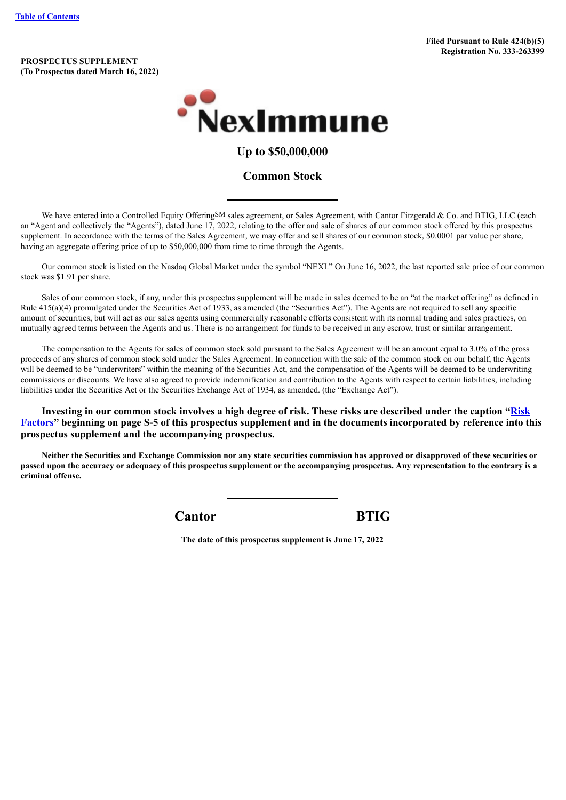**PROSPECTUS SUPPLEMENT (To Prospectus dated March 16, 2022)**



# **Up to \$50,000,000**

# **Common Stock**

We have entered into a Controlled Equity OfferingSM sales agreement, or Sales Agreement, with Cantor Fitzgerald & Co. and BTIG, LLC (each an "Agent and collectively the "Agents"), dated June 17, 2022, relating to the offer and sale of shares of our common stock offered by this prospectus supplement. In accordance with the terms of the Sales Agreement, we may offer and sell shares of our common stock, \$0.0001 par value per share, having an aggregate offering price of up to \$50,000,000 from time to time through the Agents.

Our common stock is listed on the Nasdaq Global Market under the symbol "NEXI." On June 16, 2022, the last reported sale price of our common stock was \$1.91 per share.

Sales of our common stock, if any, under this prospectus supplement will be made in sales deemed to be an "at the market offering" as defined in Rule 415(a)(4) promulgated under the Securities Act of 1933, as amended (the "Securities Act"). The Agents are not required to sell any specific amount of securities, but will act as our sales agents using commercially reasonable efforts consistent with its normal trading and sales practices, on mutually agreed terms between the Agents and us. There is no arrangement for funds to be received in any escrow, trust or similar arrangement.

The compensation to the Agents for sales of common stock sold pursuant to the Sales Agreement will be an amount equal to 3.0% of the gross proceeds of any shares of common stock sold under the Sales Agreement. In connection with the sale of the common stock on our behalf, the Agents will be deemed to be "underwriters" within the meaning of the Securities Act, and the compensation of the Agents will be deemed to be underwriting commissions or discounts. We have also agreed to provide indemnification and contribution to the Agents with respect to certain liabilities, including liabilities under the Securities Act or the Securities Exchange Act of 1934, as amended. (the "Exchange Act").

**Investing in our common stock involves a high degree of risk. These risks are described under the caption "Risk [Factors" beginning on page S-5 of this prospectus supplement and in the documents incorporated by](#page-6-0) reference into this prospectus supplement and the accompanying prospectus.**

Neither the Securities and Exchange Commission nor any state securities commission has approved or disapproved of these securities or passed upon the accuracy or adequacy of this prospectus supplement or the accompanying prospectus. Any representation to the contrary is a **criminal offense.**

**Cantor BTIG**

**The date of this prospectus supplement is June 17, 2022**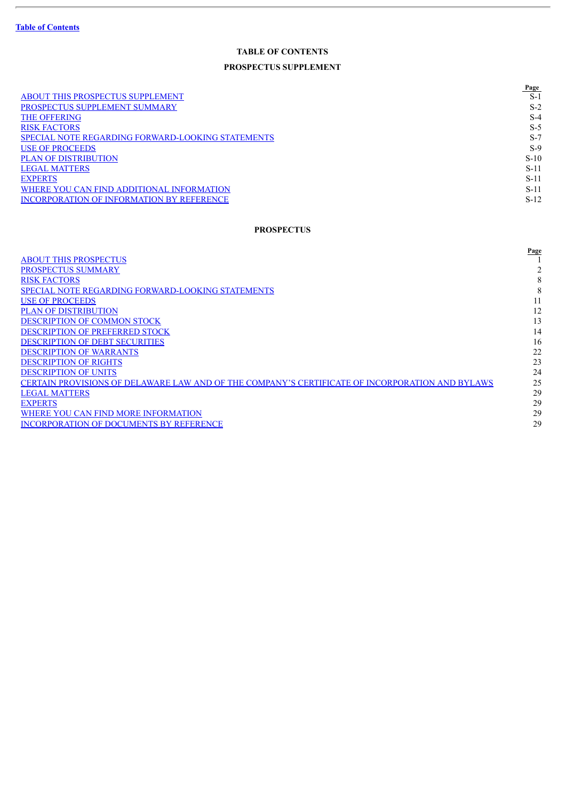# **TABLE OF CONTENTS PROSPECTUS SUPPLEMENT**

|                                                          | Page   |
|----------------------------------------------------------|--------|
| <b>ABOUT THIS PROSPECTUS SUPPLEMENT</b>                  | $S-1$  |
| PROSPECTUS SUPPLEMENT SUMMARY                            | $S-2$  |
| <b>THE OFFERING</b>                                      | $S-4$  |
| <b>RISK FACTORS</b>                                      | $S-5$  |
| <b>SPECIAL NOTE REGARDING FORWARD-LOOKING STATEMENTS</b> | $S-7$  |
| <b>USE OF PROCEEDS</b>                                   | $S-9$  |
| <b>PLAN OF DISTRIBUTION</b>                              | $S-10$ |
| <b>LEGAL MATTERS</b>                                     | $S-11$ |
| <b>EXPERTS</b>                                           | $S-11$ |
| WHERE YOU CAN FIND ADDITIONAL INFORMATION                | $S-11$ |
| <b>INCORPORATION OF INFORMATION BY REFERENCE</b>         | $S-12$ |

# **PROSPECTUS**

|                                                                                                 | Page |
|-------------------------------------------------------------------------------------------------|------|
| <b>ABOUT THIS PROSPECTUS</b>                                                                    |      |
| <b>PROSPECTUS SUMMARY</b>                                                                       |      |
| <b>RISK FACTORS</b>                                                                             | 8    |
| SPECIAL NOTE REGARDING FORWARD-LOOKING STATEMENTS                                               | 8    |
| <b>USE OF PROCEEDS</b>                                                                          |      |
| <b>PLAN OF DISTRIBUTION</b>                                                                     | 12   |
| <b>DESCRIPTION OF COMMON STOCK</b>                                                              | 13   |
| <b>DESCRIPTION OF PREFERRED STOCK</b>                                                           | 14   |
| <b>DESCRIPTION OF DEBT SECURITIES</b>                                                           | 16   |
| <b>DESCRIPTION OF WARRANTS</b>                                                                  | 22   |
| <b>DESCRIPTION OF RIGHTS</b>                                                                    | 23   |
| <b>DESCRIPTION OF UNITS</b>                                                                     | 24   |
| CERTAIN PROVISIONS OF DELAWARE LAW AND OF THE COMPANY'S CERTIFICATE OF INCORPORATION AND BYLAWS | 25   |
| <b>LEGAL MATTERS</b>                                                                            | 29   |
| <b>EXPERTS</b>                                                                                  | 29   |
| WHERE YOU CAN FIND MORE INFORMATION                                                             | 29   |
| <b>INCORPORATION OF DOCUMENTS BY REFERENCE</b>                                                  | 29   |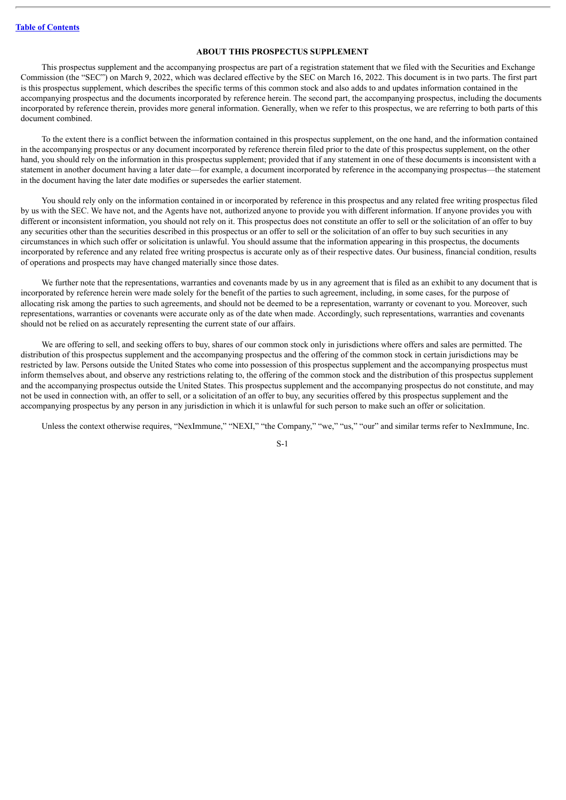# **ABOUT THIS PROSPECTUS SUPPLEMENT**

<span id="page-2-0"></span>This prospectus supplement and the accompanying prospectus are part of a registration statement that we filed with the Securities and Exchange Commission (the "SEC") on March 9, 2022, which was declared effective by the SEC on March 16, 2022. This document is in two parts. The first part is this prospectus supplement, which describes the specific terms of this common stock and also adds to and updates information contained in the accompanying prospectus and the documents incorporated by reference herein. The second part, the accompanying prospectus, including the documents incorporated by reference therein, provides more general information. Generally, when we refer to this prospectus, we are referring to both parts of this document combined.

To the extent there is a conflict between the information contained in this prospectus supplement, on the one hand, and the information contained in the accompanying prospectus or any document incorporated by reference therein filed prior to the date of this prospectus supplement, on the other hand, you should rely on the information in this prospectus supplement; provided that if any statement in one of these documents is inconsistent with a statement in another document having a later date—for example, a document incorporated by reference in the accompanying prospectus—the statement in the document having the later date modifies or supersedes the earlier statement.

You should rely only on the information contained in or incorporated by reference in this prospectus and any related free writing prospectus filed by us with the SEC. We have not, and the Agents have not, authorized anyone to provide you with different information. If anyone provides you with different or inconsistent information, you should not rely on it. This prospectus does not constitute an offer to sell or the solicitation of an offer to buy any securities other than the securities described in this prospectus or an offer to sell or the solicitation of an offer to buy such securities in any circumstances in which such offer or solicitation is unlawful. You should assume that the information appearing in this prospectus, the documents incorporated by reference and any related free writing prospectus is accurate only as of their respective dates. Our business, financial condition, results of operations and prospects may have changed materially since those dates.

We further note that the representations, warranties and covenants made by us in any agreement that is filed as an exhibit to any document that is incorporated by reference herein were made solely for the benefit of the parties to such agreement, including, in some cases, for the purpose of allocating risk among the parties to such agreements, and should not be deemed to be a representation, warranty or covenant to you. Moreover, such representations, warranties or covenants were accurate only as of the date when made. Accordingly, such representations, warranties and covenants should not be relied on as accurately representing the current state of our affairs.

We are offering to sell, and seeking offers to buy, shares of our common stock only in jurisdictions where offers and sales are permitted. The distribution of this prospectus supplement and the accompanying prospectus and the offering of the common stock in certain jurisdictions may be restricted by law. Persons outside the United States who come into possession of this prospectus supplement and the accompanying prospectus must inform themselves about, and observe any restrictions relating to, the offering of the common stock and the distribution of this prospectus supplement and the accompanying prospectus outside the United States. This prospectus supplement and the accompanying prospectus do not constitute, and may not be used in connection with, an offer to sell, or a solicitation of an offer to buy, any securities offered by this prospectus supplement and the accompanying prospectus by any person in any jurisdiction in which it is unlawful for such person to make such an offer or solicitation.

Unless the context otherwise requires, "NexImmune," "NEXI," "the Company," "we," "us," "our" and similar terms refer to NexImmune, Inc.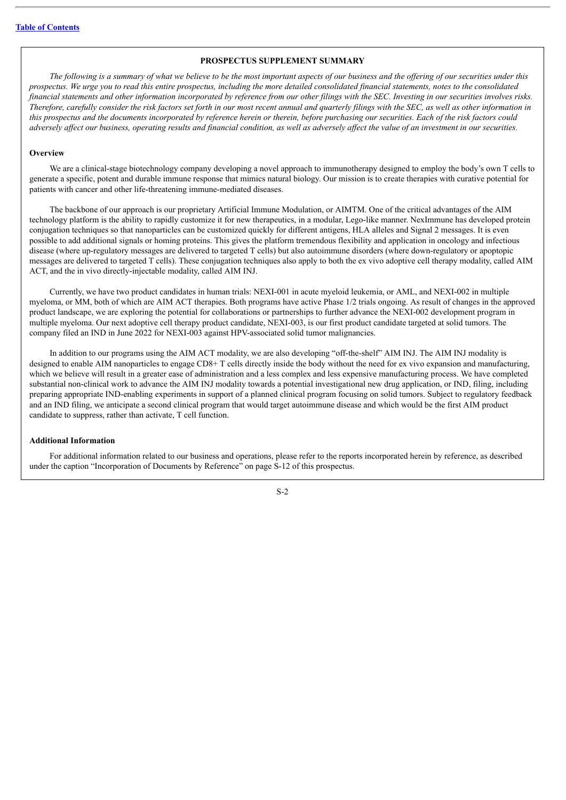#### **PROSPECTUS SUPPLEMENT SUMMARY**

<span id="page-3-0"></span>The following is a summary of what we believe to be the most important aspects of our business and the offering of our securities under this prospectus. We urge you to read this entire prospectus, including the more detailed consolidated financial statements, notes to the consolidated financial statements and other information incorporated by reference from our other filings with the SEC. Investing in our securities involves risks. Therefore, carefully consider the risk factors set forth in our most recent annual and quarterly filings with the SEC, as well as other information in this prospectus and the documents incorporated by reference herein or therein, before purchasing our securities. Each of the risk factors could adversely affect our business, operating results and financial condition, as well as adversely affect the value of an investment in our securities.

#### **Overview**

We are a clinical-stage biotechnology company developing a novel approach to immunotherapy designed to employ the body's own T cells to generate a specific, potent and durable immune response that mimics natural biology. Our mission is to create therapies with curative potential for patients with cancer and other life-threatening immune-mediated diseases.

The backbone of our approach is our proprietary Artificial Immune Modulation, or AIMTM. One of the critical advantages of the AIM technology platform is the ability to rapidly customize it for new therapeutics, in a modular, Lego-like manner. NexImmune has developed protein conjugation techniques so that nanoparticles can be customized quickly for different antigens, HLA alleles and Signal 2 messages. It is even possible to add additional signals or homing proteins. This gives the platform tremendous flexibility and application in oncology and infectious disease (where up-regulatory messages are delivered to targeted T cells) but also autoimmune disorders (where down-regulatory or apoptopic messages are delivered to targeted T cells). These conjugation techniques also apply to both the ex vivo adoptive cell therapy modality, called AIM ACT, and the in vivo directly-injectable modality, called AIM INJ.

Currently, we have two product candidates in human trials: NEXI-001 in acute myeloid leukemia, or AML, and NEXI-002 in multiple myeloma, or MM, both of which are AIM ACT therapies. Both programs have active Phase 1/2 trials ongoing. As result of changes in the approved product landscape, we are exploring the potential for collaborations or partnerships to further advance the NEXI-002 development program in multiple myeloma. Our next adoptive cell therapy product candidate, NEXI-003, is our first product candidate targeted at solid tumors. The company filed an IND in June 2022 for NEXI-003 against HPV-associated solid tumor malignancies.

In addition to our programs using the AIM ACT modality, we are also developing "off-the-shelf" AIM INJ. The AIM INJ modality is designed to enable AIM nanoparticles to engage CD8+ T cells directly inside the body without the need for ex vivo expansion and manufacturing, which we believe will result in a greater ease of administration and a less complex and less expensive manufacturing process. We have completed substantial non-clinical work to advance the AIM INJ modality towards a potential investigational new drug application, or IND, filing, including preparing appropriate IND-enabling experiments in support of a planned clinical program focusing on solid tumors. Subject to regulatory feedback and an IND filing, we anticipate a second clinical program that would target autoimmune disease and which would be the first AIM product candidate to suppress, rather than activate, T cell function.

#### **Additional Information**

For additional information related to our business and operations, please refer to the reports incorporated herein by reference, as described under the caption "Incorporation of Documents by Reference" on page S-12 of this prospectus.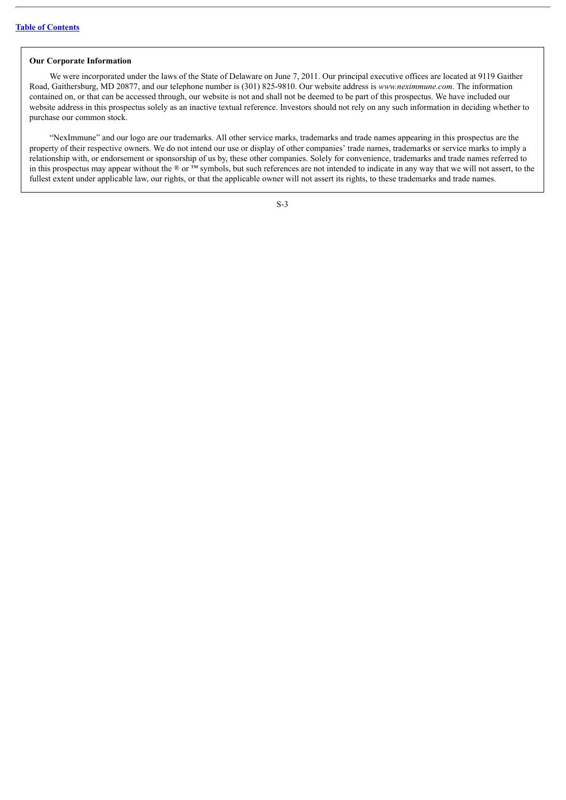#### **Our Corporate Information**

We were incorporated under the laws of the State of Delaware on June 7, 2011. Our principal executive offices are located at 9119 Gaither Road, Gaithersburg, MD 20877, and our telephone number is (301) 825-9810. Our website address is *www.neximmune.com*. The information contained on, or that can be accessed through, our website is not and shall not be deemed to be part of this prospectus. We have included our website address in this prospectus solely as an inactive textual reference. Investors should not rely on any such information in deciding whether to purchase our common stock.

"NexImmune" and our logo are our trademarks. All other service marks, trademarks and trade names appearing in this prospectus are the property of their respective owners. We do not intend our use or display of other companies' trade names, trademarks or service marks to imply a relationship with, or endorsement or sponsorship of us by, these other companies. Solely for convenience, trademarks and trade names referred to in this prospectus may appear without the  $\mathcal{R}$  or  $\mathbf{\bar{M}}$  symbols, but such references are not intended to indicate in any way that we will not assert, to the fullest extent under applicable law, our rights, or that the applicable owner will not assert its rights, to these trademarks and trade names.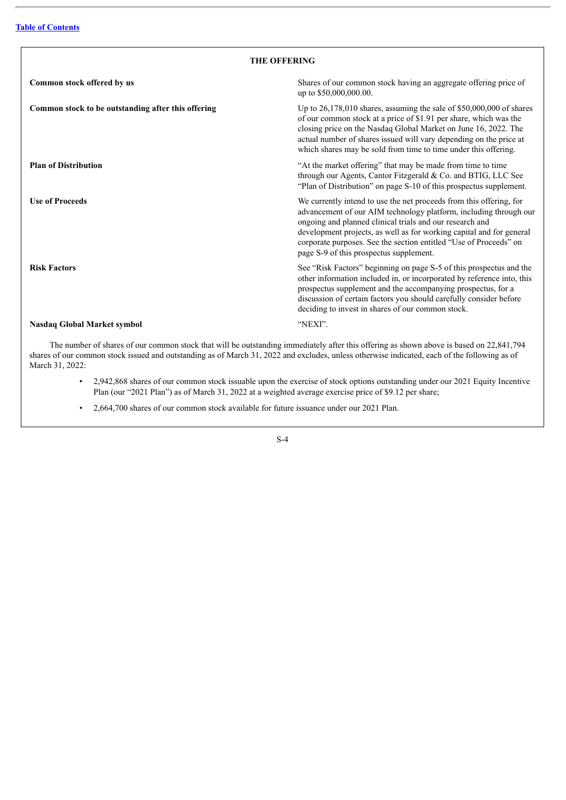<span id="page-5-0"></span>

| <b>THE OFFERING</b>                                |                                                                                                                                                                                                                                                                                                                                                                                              |  |  |
|----------------------------------------------------|----------------------------------------------------------------------------------------------------------------------------------------------------------------------------------------------------------------------------------------------------------------------------------------------------------------------------------------------------------------------------------------------|--|--|
| Common stock offered by us                         | Shares of our common stock having an aggregate offering price of<br>up to \$50,000,000.00.                                                                                                                                                                                                                                                                                                   |  |  |
| Common stock to be outstanding after this offering | Up to $26,178,010$ shares, assuming the sale of \$50,000,000 of shares<br>of our common stock at a price of \$1.91 per share, which was the<br>closing price on the Nasdaq Global Market on June 16, 2022. The<br>actual number of shares issued will vary depending on the price at<br>which shares may be sold from time to time under this offering.                                      |  |  |
| <b>Plan of Distribution</b>                        | "At the market offering" that may be made from time to time<br>through our Agents, Cantor Fitzgerald & Co. and BTIG, LLC See<br>"Plan of Distribution" on page S-10 of this prospectus supplement.                                                                                                                                                                                           |  |  |
| <b>Use of Proceeds</b>                             | We currently intend to use the net proceeds from this offering, for<br>advancement of our AIM technology platform, including through our<br>ongoing and planned clinical trials and our research and<br>development projects, as well as for working capital and for general<br>corporate purposes. See the section entitled "Use of Proceeds" on<br>page S-9 of this prospectus supplement. |  |  |
| <b>Risk Factors</b>                                | See "Risk Factors" beginning on page S-5 of this prospectus and the<br>other information included in, or incorporated by reference into, this<br>prospectus supplement and the accompanying prospectus, for a<br>discussion of certain factors you should carefully consider before<br>deciding to invest in shares of our common stock.                                                     |  |  |
| Nasdaq Global Market symbol                        | "NEXI".                                                                                                                                                                                                                                                                                                                                                                                      |  |  |

The number of shares of our common stock that will be outstanding immediately after this offering as shown above is based on 22,841,794 shares of our common stock issued and outstanding as of March 31, 2022 and excludes, unless otherwise indicated, each of the following as of March 31, 2022:

- 2,942,868 shares of our common stock issuable upon the exercise of stock options outstanding under our 2021 Equity Incentive Plan (our "2021 Plan") as of March 31, 2022 at a weighted average exercise price of \$9.12 per share;
- 2,664,700 shares of our common stock available for future issuance under our 2021 Plan.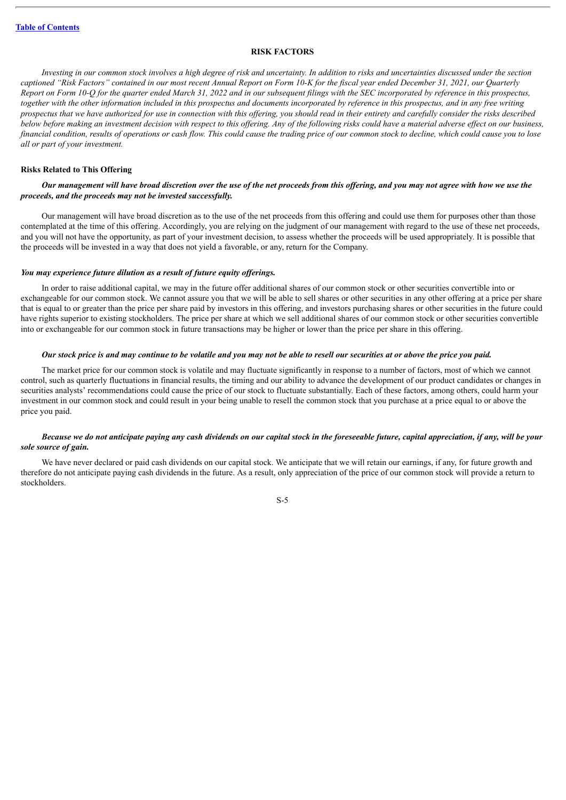#### **RISK FACTORS**

<span id="page-6-0"></span>Investing in our common stock involves a high degree of risk and uncertainty. In addition to risks and uncertainties discussed under the section captioned "Risk Factors" contained in our most recent Annual Report on Form 10-K for the fiscal vear ended December 31, 2021, our Ouarterly Report on Form 10-O for the quarter ended March 31, 2022 and in our subsequent filings with the SEC incorporated by reference in this prospectus, together with the other information included in this prospectus and documents incorporated by reference in this prospectus, and in any free writing prospectus that we have authorized for use in connection with this offering, you should read in their entirety and carefully consider the risks described below before making an investment decision with respect to this offering. Any of the following risks could have a material adverse effect on our business, financial condition, results of operations or cash flow. This could cause the trading price of our common stock to decline, which could cause you to lose *all or part of your investment.*

## **Risks Related to This Offering**

# Our management will have broad discretion over the use of the net proceeds from this offering, and you may not agree with how we use the *proceeds, and the proceeds may not be invested successfully.*

Our management will have broad discretion as to the use of the net proceeds from this offering and could use them for purposes other than those contemplated at the time of this offering. Accordingly, you are relying on the judgment of our management with regard to the use of these net proceeds, and you will not have the opportunity, as part of your investment decision, to assess whether the proceeds will be used appropriately. It is possible that the proceeds will be invested in a way that does not yield a favorable, or any, return for the Company.

#### *You may experience future dilution as a result of future equity of erings.*

In order to raise additional capital, we may in the future offer additional shares of our common stock or other securities convertible into or exchangeable for our common stock. We cannot assure you that we will be able to sell shares or other securities in any other offering at a price per share that is equal to or greater than the price per share paid by investors in this offering, and investors purchasing shares or other securities in the future could have rights superior to existing stockholders. The price per share at which we sell additional shares of our common stock or other securities convertible into or exchangeable for our common stock in future transactions may be higher or lower than the price per share in this offering.

#### Our stock price is and may continue to be volatile and you may not be able to resell our securities at or above the price you paid.

The market price for our common stock is volatile and may fluctuate significantly in response to a number of factors, most of which we cannot control, such as quarterly fluctuations in financial results, the timing and our ability to advance the development of our product candidates or changes in securities analysts' recommendations could cause the price of our stock to fluctuate substantially. Each of these factors, among others, could harm your investment in our common stock and could result in your being unable to resell the common stock that you purchase at a price equal to or above the price you paid.

# Because we do not anticipate paying any cash dividends on our capital stock in the foreseeable future, capital appreciation, if any, will be your *sole source of gain.*

We have never declared or paid cash dividends on our capital stock. We anticipate that we will retain our earnings, if any, for future growth and therefore do not anticipate paying cash dividends in the future. As a result, only appreciation of the price of our common stock will provide a return to stockholders.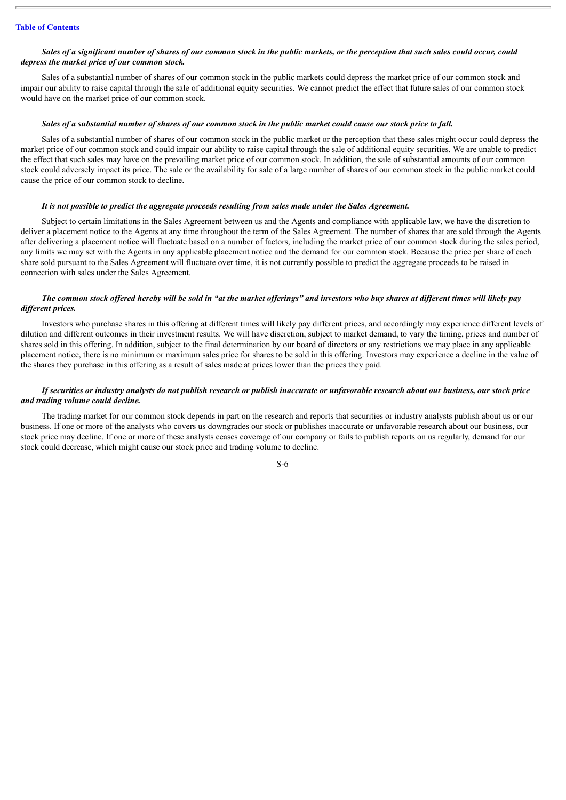#### Sales of a significant number of shares of our common stock in the public markets, or the perception that such sales could occur, could *depress the market price of our common stock.*

Sales of a substantial number of shares of our common stock in the public markets could depress the market price of our common stock and impair our ability to raise capital through the sale of additional equity securities. We cannot predict the effect that future sales of our common stock would have on the market price of our common stock.

#### Sales of a substantial number of shares of our common stock in the public market could cause our stock price to fall.

Sales of a substantial number of shares of our common stock in the public market or the perception that these sales might occur could depress the market price of our common stock and could impair our ability to raise capital through the sale of additional equity securities. We are unable to predict the effect that such sales may have on the prevailing market price of our common stock. In addition, the sale of substantial amounts of our common stock could adversely impact its price. The sale or the availability for sale of a large number of shares of our common stock in the public market could cause the price of our common stock to decline.

#### *It is not possible to predict the aggregate proceeds resulting from sales made under the Sales Agreement.*

Subject to certain limitations in the Sales Agreement between us and the Agents and compliance with applicable law, we have the discretion to deliver a placement notice to the Agents at any time throughout the term of the Sales Agreement. The number of shares that are sold through the Agents after delivering a placement notice will fluctuate based on a number of factors, including the market price of our common stock during the sales period, any limits we may set with the Agents in any applicable placement notice and the demand for our common stock. Because the price per share of each share sold pursuant to the Sales Agreement will fluctuate over time, it is not currently possible to predict the aggregate proceeds to be raised in connection with sales under the Sales Agreement.

# The common stock offered hereby will be sold in "at the market offerings" and investors who buy shares at different times will likely pay *dif erent prices.*

Investors who purchase shares in this offering at different times will likely pay different prices, and accordingly may experience different levels of dilution and different outcomes in their investment results. We will have discretion, subject to market demand, to vary the timing, prices and number of shares sold in this offering. In addition, subject to the final determination by our board of directors or any restrictions we may place in any applicable placement notice, there is no minimum or maximum sales price for shares to be sold in this offering. Investors may experience a decline in the value of the shares they purchase in this offering as a result of sales made at prices lower than the prices they paid.

# If securities or industry analysts do not publish research or publish inaccurate or unfavorable research about our business, our stock price *and trading volume could decline.*

The trading market for our common stock depends in part on the research and reports that securities or industry analysts publish about us or our business. If one or more of the analysts who covers us downgrades our stock or publishes inaccurate or unfavorable research about our business, our stock price may decline. If one or more of these analysts ceases coverage of our company or fails to publish reports on us regularly, demand for our stock could decrease, which might cause our stock price and trading volume to decline.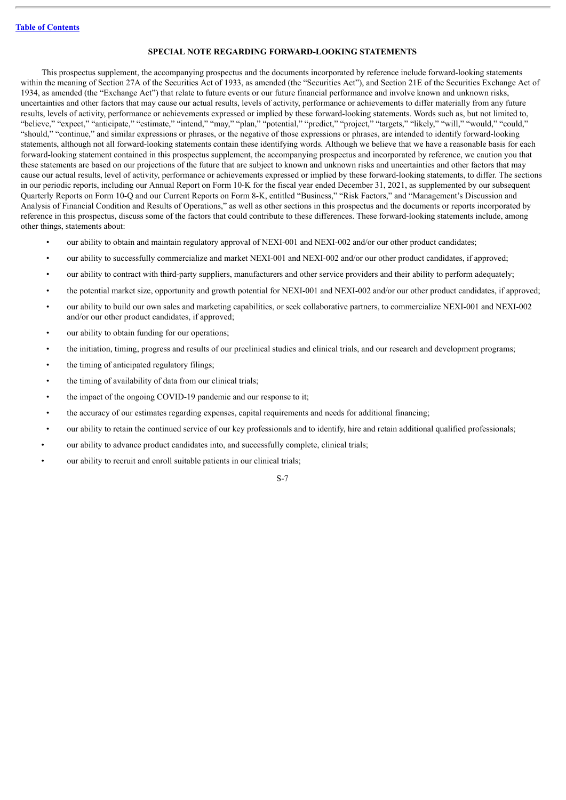# **SPECIAL NOTE REGARDING FORWARD-LOOKING STATEMENTS**

<span id="page-8-0"></span>This prospectus supplement, the accompanying prospectus and the documents incorporated by reference include forward-looking statements within the meaning of Section 27A of the Securities Act of 1933, as amended (the "Securities Act"), and Section 21E of the Securities Exchange Act of 1934, as amended (the "Exchange Act") that relate to future events or our future financial performance and involve known and unknown risks, uncertainties and other factors that may cause our actual results, levels of activity, performance or achievements to differ materially from any future results, levels of activity, performance or achievements expressed or implied by these forward-looking statements. Words such as, but not limited to, "believe," "expect," "anticipate," "estimate," "intend," "may," "plan," "potential," "predict," "project," "targets," "likely," "will," "would," "could," "should," "continue," and similar expressions or phrases, or the negative of those expressions or phrases, are intended to identify forward-looking statements, although not all forward-looking statements contain these identifying words. Although we believe that we have a reasonable basis for each forward-looking statement contained in this prospectus supplement, the accompanying prospectus and incorporated by reference, we caution you that these statements are based on our projections of the future that are subject to known and unknown risks and uncertainties and other factors that may cause our actual results, level of activity, performance or achievements expressed or implied by these forward-looking statements, to differ. The sections in our periodic reports, including our Annual Report on Form 10-K for the fiscal year ended December 31, 2021, as supplemented by our subsequent Quarterly Reports on Form 10-Q and our Current Reports on Form 8-K, entitled "Business," "Risk Factors," and "Management's Discussion and Analysis of Financial Condition and Results of Operations," as well as other sections in this prospectus and the documents or reports incorporated by reference in this prospectus, discuss some of the factors that could contribute to these differences. These forward-looking statements include, among other things, statements about:

- our ability to obtain and maintain regulatory approval of NEXI-001 and NEXI-002 and/or our other product candidates;
- our ability to successfully commercialize and market NEXI-001 and NEXI-002 and/or our other product candidates, if approved;
- our ability to contract with third-party suppliers, manufacturers and other service providers and their ability to perform adequately;
- the potential market size, opportunity and growth potential for NEXI-001 and NEXI-002 and/or our other product candidates, if approved;
- our ability to build our own sales and marketing capabilities, or seek collaborative partners, to commercialize NEXI-001 and NEXI-002 and/or our other product candidates, if approved;
- our ability to obtain funding for our operations;
- the initiation, timing, progress and results of our preclinical studies and clinical trials, and our research and development programs;
- the timing of anticipated regulatory filings;
- the timing of availability of data from our clinical trials;
- the impact of the ongoing COVID-19 pandemic and our response to it;
- the accuracy of our estimates regarding expenses, capital requirements and needs for additional financing;
- our ability to retain the continued service of our key professionals and to identify, hire and retain additional qualified professionals;
- our ability to advance product candidates into, and successfully complete, clinical trials;
- our ability to recruit and enroll suitable patients in our clinical trials;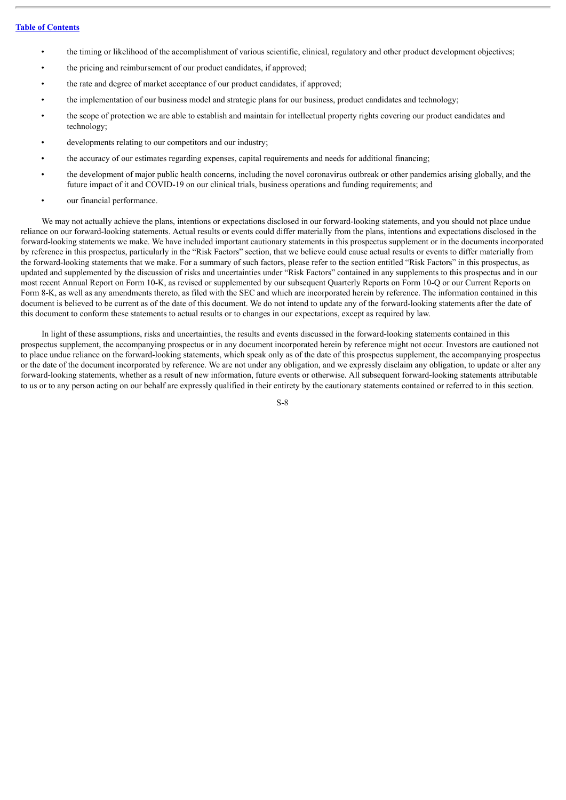- the timing or likelihood of the accomplishment of various scientific, clinical, regulatory and other product development objectives;
- the pricing and reimbursement of our product candidates, if approved;
- the rate and degree of market acceptance of our product candidates, if approved;
- the implementation of our business model and strategic plans for our business, product candidates and technology;
- the scope of protection we are able to establish and maintain for intellectual property rights covering our product candidates and technology;
- developments relating to our competitors and our industry;
- the accuracy of our estimates regarding expenses, capital requirements and needs for additional financing;
- the development of major public health concerns, including the novel coronavirus outbreak or other pandemics arising globally, and the future impact of it and COVID-19 on our clinical trials, business operations and funding requirements; and
- our financial performance.

We may not actually achieve the plans, intentions or expectations disclosed in our forward-looking statements, and you should not place undue reliance on our forward-looking statements. Actual results or events could differ materially from the plans, intentions and expectations disclosed in the forward-looking statements we make. We have included important cautionary statements in this prospectus supplement or in the documents incorporated by reference in this prospectus, particularly in the "Risk Factors" section, that we believe could cause actual results or events to differ materially from the forward-looking statements that we make. For a summary of such factors, please refer to the section entitled "Risk Factors" in this prospectus, as updated and supplemented by the discussion of risks and uncertainties under "Risk Factors" contained in any supplements to this prospectus and in our most recent Annual Report on Form 10-K, as revised or supplemented by our subsequent Quarterly Reports on Form 10-Q or our Current Reports on Form 8-K, as well as any amendments thereto, as filed with the SEC and which are incorporated herein by reference. The information contained in this document is believed to be current as of the date of this document. We do not intend to update any of the forward-looking statements after the date of this document to conform these statements to actual results or to changes in our expectations, except as required by law.

In light of these assumptions, risks and uncertainties, the results and events discussed in the forward-looking statements contained in this prospectus supplement, the accompanying prospectus or in any document incorporated herein by reference might not occur. Investors are cautioned not to place undue reliance on the forward-looking statements, which speak only as of the date of this prospectus supplement, the accompanying prospectus or the date of the document incorporated by reference. We are not under any obligation, and we expressly disclaim any obligation, to update or alter any forward-looking statements, whether as a result of new information, future events or otherwise. All subsequent forward-looking statements attributable to us or to any person acting on our behalf are expressly qualified in their entirety by the cautionary statements contained or referred to in this section.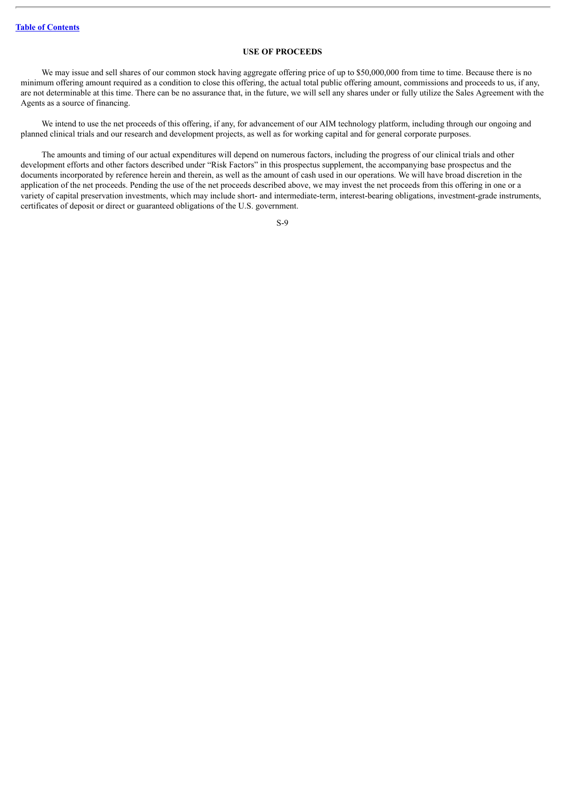# **USE OF PROCEEDS**

<span id="page-10-0"></span>We may issue and sell shares of our common stock having aggregate offering price of up to \$50,000,000 from time to time. Because there is no minimum offering amount required as a condition to close this offering, the actual total public offering amount, commissions and proceeds to us, if any, are not determinable at this time. There can be no assurance that, in the future, we will sell any shares under or fully utilize the Sales Agreement with the Agents as a source of financing.

We intend to use the net proceeds of this offering, if any, for advancement of our AIM technology platform, including through our ongoing and planned clinical trials and our research and development projects, as well as for working capital and for general corporate purposes.

The amounts and timing of our actual expenditures will depend on numerous factors, including the progress of our clinical trials and other development efforts and other factors described under "Risk Factors" in this prospectus supplement, the accompanying base prospectus and the documents incorporated by reference herein and therein, as well as the amount of cash used in our operations. We will have broad discretion in the application of the net proceeds. Pending the use of the net proceeds described above, we may invest the net proceeds from this offering in one or a variety of capital preservation investments, which may include short- and intermediate-term, interest-bearing obligations, investment-grade instruments, certificates of deposit or direct or guaranteed obligations of the U.S. government.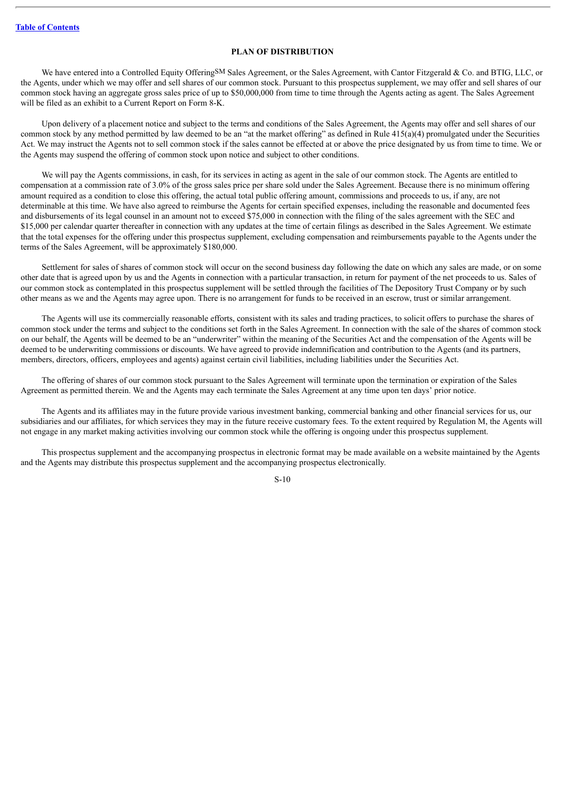# **PLAN OF DISTRIBUTION**

<span id="page-11-0"></span>We have entered into a Controlled Equity OfferingSM Sales Agreement, or the Sales Agreement, with Cantor Fitzgerald & Co. and BTIG, LLC, or the Agents, under which we may offer and sell shares of our common stock. Pursuant to this prospectus supplement, we may offer and sell shares of our common stock having an aggregate gross sales price of up to \$50,000,000 from time to time through the Agents acting as agent. The Sales Agreement will be filed as an exhibit to a Current Report on Form 8-K.

Upon delivery of a placement notice and subject to the terms and conditions of the Sales Agreement, the Agents may offer and sell shares of our common stock by any method permitted by law deemed to be an "at the market offering" as defined in Rule 415(a)(4) promulgated under the Securities Act. We may instruct the Agents not to sell common stock if the sales cannot be effected at or above the price designated by us from time to time. We or the Agents may suspend the offering of common stock upon notice and subject to other conditions.

We will pay the Agents commissions, in cash, for its services in acting as agent in the sale of our common stock. The Agents are entitled to compensation at a commission rate of 3.0% of the gross sales price per share sold under the Sales Agreement. Because there is no minimum offering amount required as a condition to close this offering, the actual total public offering amount, commissions and proceeds to us, if any, are not determinable at this time. We have also agreed to reimburse the Agents for certain specified expenses, including the reasonable and documented fees and disbursements of its legal counsel in an amount not to exceed \$75,000 in connection with the filing of the sales agreement with the SEC and \$15,000 per calendar quarter thereafter in connection with any updates at the time of certain filings as described in the Sales Agreement. We estimate that the total expenses for the offering under this prospectus supplement, excluding compensation and reimbursements payable to the Agents under the terms of the Sales Agreement, will be approximately \$180,000.

Settlement for sales of shares of common stock will occur on the second business day following the date on which any sales are made, or on some other date that is agreed upon by us and the Agents in connection with a particular transaction, in return for payment of the net proceeds to us. Sales of our common stock as contemplated in this prospectus supplement will be settled through the facilities of The Depository Trust Company or by such other means as we and the Agents may agree upon. There is no arrangement for funds to be received in an escrow, trust or similar arrangement.

The Agents will use its commercially reasonable efforts, consistent with its sales and trading practices, to solicit offers to purchase the shares of common stock under the terms and subject to the conditions set forth in the Sales Agreement. In connection with the sale of the shares of common stock on our behalf, the Agents will be deemed to be an "underwriter" within the meaning of the Securities Act and the compensation of the Agents will be deemed to be underwriting commissions or discounts. We have agreed to provide indemnification and contribution to the Agents (and its partners, members, directors, officers, employees and agents) against certain civil liabilities, including liabilities under the Securities Act.

The offering of shares of our common stock pursuant to the Sales Agreement will terminate upon the termination or expiration of the Sales Agreement as permitted therein. We and the Agents may each terminate the Sales Agreement at any time upon ten days' prior notice.

The Agents and its affiliates may in the future provide various investment banking, commercial banking and other financial services for us, our subsidiaries and our affiliates, for which services they may in the future receive customary fees. To the extent required by Regulation M, the Agents will not engage in any market making activities involving our common stock while the offering is ongoing under this prospectus supplement.

This prospectus supplement and the accompanying prospectus in electronic format may be made available on a website maintained by the Agents and the Agents may distribute this prospectus supplement and the accompanying prospectus electronically.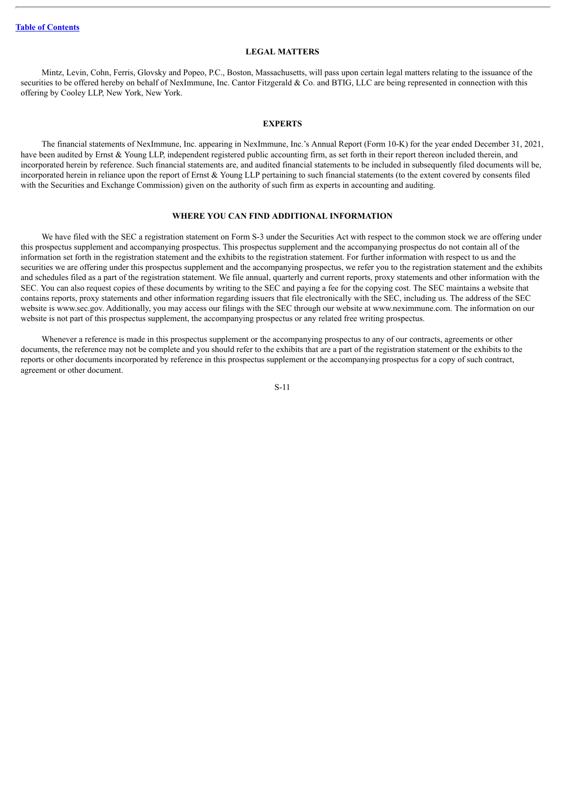#### **LEGAL MATTERS**

<span id="page-12-0"></span>Mintz, Levin, Cohn, Ferris, Glovsky and Popeo, P.C., Boston, Massachusetts, will pass upon certain legal matters relating to the issuance of the securities to be offered hereby on behalf of NexImmune, Inc. Cantor Fitzgerald & Co. and BTIG, LLC are being represented in connection with this offering by Cooley LLP, New York, New York.

#### **EXPERTS**

<span id="page-12-1"></span>The financial statements of NexImmune, Inc. appearing in NexImmune, Inc.'s Annual Report (Form 10-K) for the year ended December 31, 2021, have been audited by Ernst & Young LLP, independent registered public accounting firm, as set forth in their report thereon included therein, and incorporated herein by reference. Such financial statements are, and audited financial statements to be included in subsequently filed documents will be, incorporated herein in reliance upon the report of Ernst & Young LLP pertaining to such financial statements (to the extent covered by consents filed with the Securities and Exchange Commission) given on the authority of such firm as experts in accounting and auditing.

#### **WHERE YOU CAN FIND ADDITIONAL INFORMATION**

<span id="page-12-2"></span>We have filed with the SEC a registration statement on Form S-3 under the Securities Act with respect to the common stock we are offering under this prospectus supplement and accompanying prospectus. This prospectus supplement and the accompanying prospectus do not contain all of the information set forth in the registration statement and the exhibits to the registration statement. For further information with respect to us and the securities we are offering under this prospectus supplement and the accompanying prospectus, we refer you to the registration statement and the exhibits and schedules filed as a part of the registration statement. We file annual, quarterly and current reports, proxy statements and other information with the SEC. You can also request copies of these documents by writing to the SEC and paying a fee for the copying cost. The SEC maintains a website that contains reports, proxy statements and other information regarding issuers that file electronically with the SEC, including us. The address of the SEC website is www.sec.gov. Additionally, you may access our filings with the SEC through our website at www.neximmune.com. The information on our website is not part of this prospectus supplement, the accompanying prospectus or any related free writing prospectus.

Whenever a reference is made in this prospectus supplement or the accompanying prospectus to any of our contracts, agreements or other documents, the reference may not be complete and you should refer to the exhibits that are a part of the registration statement or the exhibits to the reports or other documents incorporated by reference in this prospectus supplement or the accompanying prospectus for a copy of such contract, agreement or other document.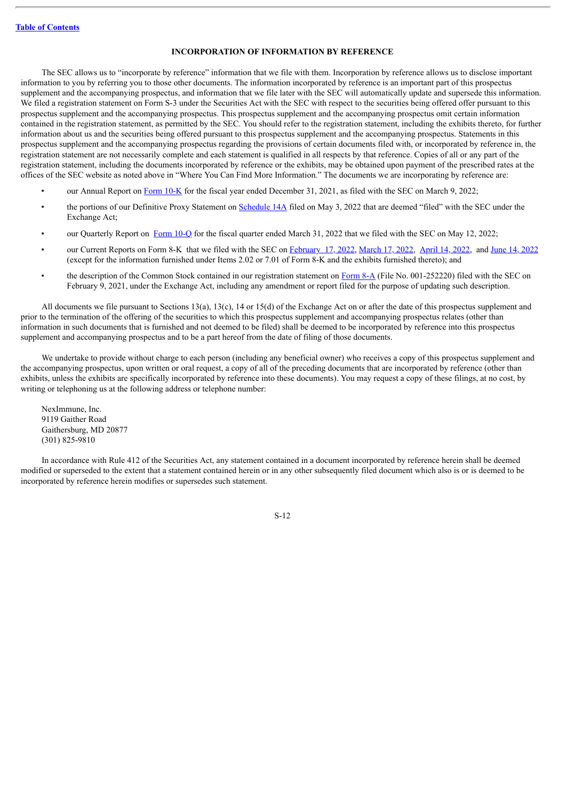# **INCORPORATION OF INFORMATION BY REFERENCE**

<span id="page-13-0"></span>The SEC allows us to "incorporate by reference" information that we file with them. Incorporation by reference allows us to disclose important information to you by referring you to those other documents. The information incorporated by reference is an important part of this prospectus supplement and the accompanying prospectus, and information that we file later with the SEC will automatically update and supersede this information. We filed a registration statement on Form S-3 under the Securities Act with the SEC with respect to the securities being offered offer pursuant to this prospectus supplement and the accompanying prospectus. This prospectus supplement and the accompanying prospectus omit certain information contained in the registration statement, as permitted by the SEC. You should refer to the registration statement, including the exhibits thereto, for further information about us and the securities being offered pursuant to this prospectus supplement and the accompanying prospectus. Statements in this prospectus supplement and the accompanying prospectus regarding the provisions of certain documents filed with, or incorporated by reference in, the registration statement are not necessarily complete and each statement is qualified in all respects by that reference. Copies of all or any part of the registration statement, including the documents incorporated by reference or the exhibits, may be obtained upon payment of the prescribed rates at the offices of the SEC website as noted above in "Where You Can Find More Information." The documents we are incorporating by reference are:

- our Annual Report on [Form](http://www.sec.gov/ix?doc=/Archives/edgar/data/1538210/000153821022000008/nexi-20211231.htm) 10-K for the fiscal year ended December 31, 2021, as filed with the SEC on March 9, 2022;
- the portions of our Definitive Proxy Statement on [Schedule](http://www.sec.gov/Archives/edgar/data/1538210/000153821022000010/neximmuneinc-proxy.htm) 14A filed on May 3, 2022 that are deemed "filed" with the SEC under the Exchange Act;
- our Quarterly Report on [Form](http://www.sec.gov/ix?doc=/Archives/edgar/data/1538210/000153821022000018/nexi-20220331.htm) 10-Q for the fiscal quarter ended March 31, 2022 that we filed with the SEC on May 12, 2022;
- our Current Reports on Form 8-K that we filed with the SEC on [February](http://www.sec.gov/ix?doc=/Archives/edgar/data/1538210/000119312522045467/d317814d8k.htm) 17, 2022, [March](http://www.sec.gov/ix?doc=/Archives/edgar/data/1538210/000119312522078320/d334735d8k.htm) 17, 2022, [April](http://www.sec.gov/ix?doc=/Archives/edgar/data/1538210/000119312522105601/d363344d8k.htm) 14, [2022](http://www.sec.gov/ix?doc=/Archives/edgar/data/1538210/000119312522173825/d357890d8k.htm), and June 14, 2022 (except for the information furnished under Items 2.02 or 7.01 of Form 8-K and the exhibits furnished thereto); and
- the description of the Common Stock contained in our registration statement on [Form](http://www.sec.gov/Archives/edgar/data/1538210/000119312521033776/d117115d8a12b.htm) 8-A (File No. 001-252220) filed with the SEC on February 9, 2021, under the Exchange Act, including any amendment or report filed for the purpose of updating such description.

All documents we file pursuant to Sections 13(a), 13(c), 14 or 15(d) of the Exchange Act on or after the date of this prospectus supplement and prior to the termination of the offering of the securities to which this prospectus supplement and accompanying prospectus relates (other than information in such documents that is furnished and not deemed to be filed) shall be deemed to be incorporated by reference into this prospectus supplement and accompanying prospectus and to be a part hereof from the date of filing of those documents.

We undertake to provide without charge to each person (including any beneficial owner) who receives a copy of this prospectus supplement and the accompanying prospectus, upon written or oral request, a copy of all of the preceding documents that are incorporated by reference (other than exhibits, unless the exhibits are specifically incorporated by reference into these documents). You may request a copy of these filings, at no cost, by writing or telephoning us at the following address or telephone number:

NexImmune, Inc. 9119 Gaither Road Gaithersburg, MD 20877 (301) 825-9810

In accordance with Rule 412 of the Securities Act, any statement contained in a document incorporated by reference herein shall be deemed modified or superseded to the extent that a statement contained herein or in any other subsequently filed document which also is or is deemed to be incorporated by reference herein modifies or supersedes such statement.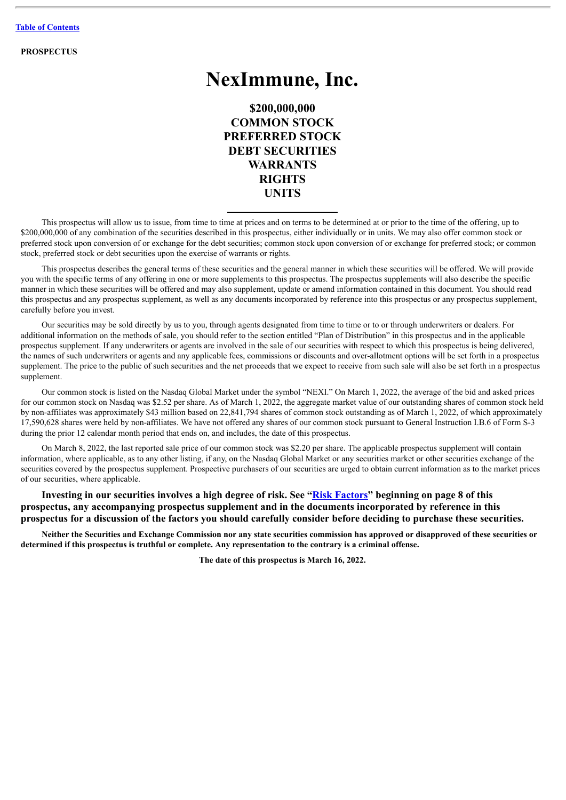**PROSPECTUS**

# **NexImmune, Inc.**

**\$200,000,000 COMMON STOCK PREFERRED STOCK DEBT SECURITIES WARRANTS RIGHTS UNITS**

This prospectus will allow us to issue, from time to time at prices and on terms to be determined at or prior to the time of the offering, up to \$200,000,000 of any combination of the securities described in this prospectus, either individually or in units. We may also offer common stock or preferred stock upon conversion of or exchange for the debt securities; common stock upon conversion of or exchange for preferred stock; or common stock, preferred stock or debt securities upon the exercise of warrants or rights.

This prospectus describes the general terms of these securities and the general manner in which these securities will be offered. We will provide you with the specific terms of any offering in one or more supplements to this prospectus. The prospectus supplements will also describe the specific manner in which these securities will be offered and may also supplement, update or amend information contained in this document. You should read this prospectus and any prospectus supplement, as well as any documents incorporated by reference into this prospectus or any prospectus supplement, carefully before you invest.

Our securities may be sold directly by us to you, through agents designated from time to time or to or through underwriters or dealers. For additional information on the methods of sale, you should refer to the section entitled "Plan of Distribution" in this prospectus and in the applicable prospectus supplement. If any underwriters or agents are involved in the sale of our securities with respect to which this prospectus is being delivered, the names of such underwriters or agents and any applicable fees, commissions or discounts and over-allotment options will be set forth in a prospectus supplement. The price to the public of such securities and the net proceeds that we expect to receive from such sale will also be set forth in a prospectus supplement.

Our common stock is listed on the Nasdaq Global Market under the symbol "NEXI." On March 1, 2022, the average of the bid and asked prices for our common stock on Nasdaq was \$2.52 per share. As of March 1, 2022, the aggregate market value of our outstanding shares of common stock held by non-affiliates was approximately \$43 million based on 22,841,794 shares of common stock outstanding as of March 1, 2022, of which approximately 17,590,628 shares were held by non-affiliates. We have not offered any shares of our common stock pursuant to General Instruction I.B.6 of Form S-3 during the prior 12 calendar month period that ends on, and includes, the date of this prospectus.

On March 8, 2022, the last reported sale price of our common stock was \$2.20 per share. The applicable prospectus supplement will contain information, where applicable, as to any other listing, if any, on the Nasdaq Global Market or any securities market or other securities exchange of the securities covered by the prospectus supplement. Prospective purchasers of our securities are urged to obtain current information as to the market prices of our securities, where applicable.

**Investing in our securities involves a high degree of risk. See "[Risk Factors](#page-23-0)" beginning on page 8 of this prospectus, any accompanying prospectus supplement and in the documents incorporated by reference in this prospectus for a discussion of the factors you should carefully consider before deciding to purchase these securities.**

Neither the Securities and Exchange Commission nor any state securities commission has approved or disapproved of these securities or determined if this prospectus is truthful or complete. Any representation to the contrary is a criminal offense.

**The date of this prospectus is March 16, 2022.**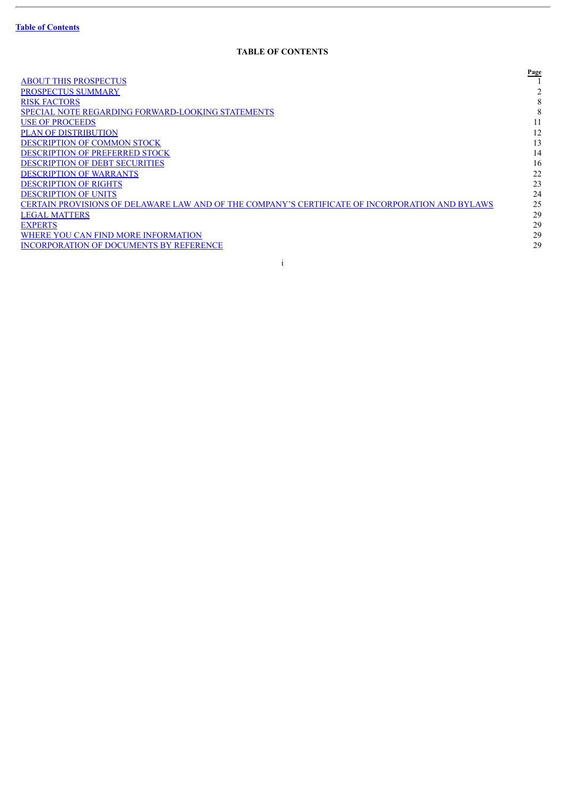# **TABLE OF CONTENTS**

<span id="page-15-0"></span>

|                                                                                                 | Page |
|-------------------------------------------------------------------------------------------------|------|
| <b>ABOUT THIS PROSPECTUS</b>                                                                    |      |
| <b>PROSPECTUS SUMMARY</b>                                                                       |      |
| <b>RISK FACTORS</b>                                                                             | 8    |
| <b>SPECIAL NOTE REGARDING FORWARD-LOOKING STATEMENTS</b>                                        | 8    |
| <b>USE OF PROCEEDS</b>                                                                          |      |
| <b>PLAN OF DISTRIBUTION</b>                                                                     | 12   |
| <b>DESCRIPTION OF COMMON STOCK</b>                                                              | 13   |
| <b>DESCRIPTION OF PREFERRED STOCK</b>                                                           | 14   |
| <b>DESCRIPTION OF DEBT SECURITIES</b>                                                           | 16   |
| <b>DESCRIPTION OF WARRANTS</b>                                                                  | 22   |
| <b>DESCRIPTION OF RIGHTS</b>                                                                    | 23   |
| <b>DESCRIPTION OF UNITS</b>                                                                     | 24   |
| CERTAIN PROVISIONS OF DELAWARE LAW AND OF THE COMPANY'S CERTIFICATE OF INCORPORATION AND BYLAWS | 25   |
| <b>LEGAL MATTERS</b>                                                                            | 29   |
| <b>EXPERTS</b>                                                                                  | 29   |
| WHERE YOU CAN FIND MORE INFORMATION                                                             | 29   |
| <b>INCORPORATION OF DOCUMENTS BY REFERENCE</b>                                                  | 29   |
|                                                                                                 |      |

i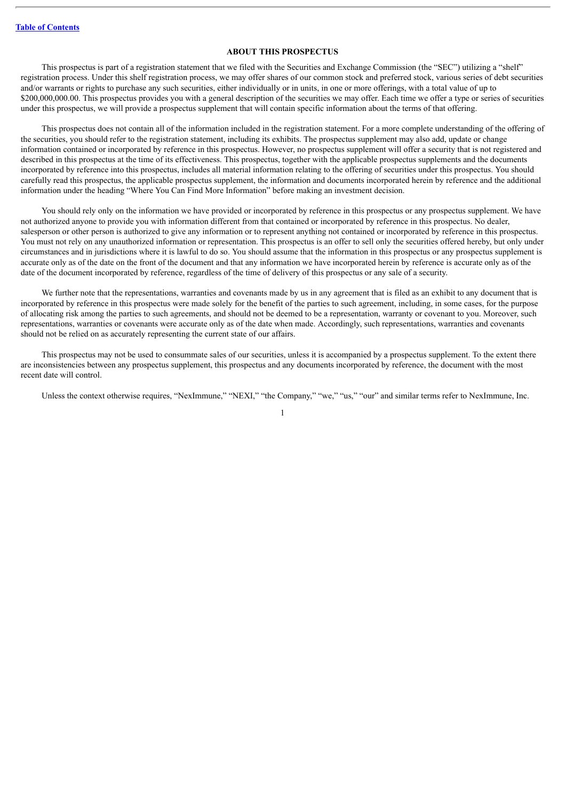# **ABOUT THIS PROSPECTUS**

<span id="page-16-0"></span>This prospectus is part of a registration statement that we filed with the Securities and Exchange Commission (the "SEC") utilizing a "shelf" registration process. Under this shelf registration process, we may offer shares of our common stock and preferred stock, various series of debt securities and/or warrants or rights to purchase any such securities, either individually or in units, in one or more offerings, with a total value of up to \$200,000,000.00. This prospectus provides you with a general description of the securities we may offer. Each time we offer a type or series of securities under this prospectus, we will provide a prospectus supplement that will contain specific information about the terms of that offering.

This prospectus does not contain all of the information included in the registration statement. For a more complete understanding of the offering of the securities, you should refer to the registration statement, including its exhibits. The prospectus supplement may also add, update or change information contained or incorporated by reference in this prospectus. However, no prospectus supplement will offer a security that is not registered and described in this prospectus at the time of its effectiveness. This prospectus, together with the applicable prospectus supplements and the documents incorporated by reference into this prospectus, includes all material information relating to the offering of securities under this prospectus. You should carefully read this prospectus, the applicable prospectus supplement, the information and documents incorporated herein by reference and the additional information under the heading "Where You Can Find More Information" before making an investment decision.

You should rely only on the information we have provided or incorporated by reference in this prospectus or any prospectus supplement. We have not authorized anyone to provide you with information different from that contained or incorporated by reference in this prospectus. No dealer, salesperson or other person is authorized to give any information or to represent anything not contained or incorporated by reference in this prospectus. You must not rely on any unauthorized information or representation. This prospectus is an offer to sell only the securities offered hereby, but only under circumstances and in jurisdictions where it is lawful to do so. You should assume that the information in this prospectus or any prospectus supplement is accurate only as of the date on the front of the document and that any information we have incorporated herein by reference is accurate only as of the date of the document incorporated by reference, regardless of the time of delivery of this prospectus or any sale of a security.

We further note that the representations, warranties and covenants made by us in any agreement that is filed as an exhibit to any document that is incorporated by reference in this prospectus were made solely for the benefit of the parties to such agreement, including, in some cases, for the purpose of allocating risk among the parties to such agreements, and should not be deemed to be a representation, warranty or covenant to you. Moreover, such representations, warranties or covenants were accurate only as of the date when made. Accordingly, such representations, warranties and covenants should not be relied on as accurately representing the current state of our affairs.

This prospectus may not be used to consummate sales of our securities, unless it is accompanied by a prospectus supplement. To the extent there are inconsistencies between any prospectus supplement, this prospectus and any documents incorporated by reference, the document with the most recent date will control.

Unless the context otherwise requires, "NexImmune," "NEXI," "the Company," "we," "us," "our" and similar terms refer to NexImmune, Inc.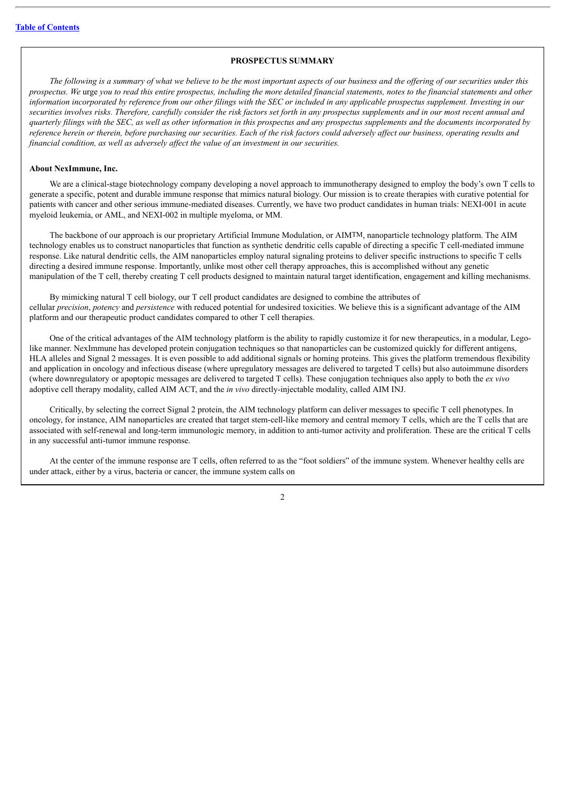# **PROSPECTUS SUMMARY**

<span id="page-17-0"></span>The following is a summary of what we believe to be the most important aspects of our business and the offering of our securities under this prospectus. We urge you to read this entire prospectus, including the more detailed financial statements, notes to the financial statements and other information incorporated by reference from our other filings with the SEC or included in any applicable prospectus supplement. Investing in our securities involves risks. Therefore, carefully consider the risk factors set forth in any prospectus supplements and in our most recent annual and quarterly filings with the SEC, as well as other information in this prospectus and any prospectus supplements and the documents incorporated by reference herein or therein, before purchasing our securities. Each of the risk factors could adversely affect our business, operating results and *financial condition, as well as adversely af ect the value of an investment in our securities.*

## **About NexImmune, Inc.**

We are a clinical-stage biotechnology company developing a novel approach to immunotherapy designed to employ the body's own T cells to generate a specific, potent and durable immune response that mimics natural biology. Our mission is to create therapies with curative potential for patients with cancer and other serious immune-mediated diseases. Currently, we have two product candidates in human trials: NEXI-001 in acute myeloid leukemia, or AML, and NEXI-002 in multiple myeloma, or MM.

The backbone of our approach is our proprietary Artificial Immune Modulation, or AIMTM, nanoparticle technology platform. The AIM technology enables us to construct nanoparticles that function as synthetic dendritic cells capable of directing a specific T cell-mediated immune response. Like natural dendritic cells, the AIM nanoparticles employ natural signaling proteins to deliver specific instructions to specific T cells directing a desired immune response. Importantly, unlike most other cell therapy approaches, this is accomplished without any genetic manipulation of the T cell, thereby creating T cell products designed to maintain natural target identification, engagement and killing mechanisms.

By mimicking natural T cell biology, our T cell product candidates are designed to combine the attributes of cellular *precision*, *potency* and *persistence* with reduced potential for undesired toxicities. We believe this is a significant advantage of the AIM platform and our therapeutic product candidates compared to other T cell therapies.

One of the critical advantages of the AIM technology platform is the ability to rapidly customize it for new therapeutics, in a modular, Legolike manner. NexImmune has developed protein conjugation techniques so that nanoparticles can be customized quickly for different antigens, HLA alleles and Signal 2 messages. It is even possible to add additional signals or homing proteins. This gives the platform tremendous flexibility and application in oncology and infectious disease (where upregulatory messages are delivered to targeted T cells) but also autoimmune disorders (where downregulatory or apoptopic messages are delivered to targeted T cells). These conjugation techniques also apply to both the *ex vivo* adoptive cell therapy modality, called AIM ACT, and the *in vivo* directly-injectable modality, called AIM INJ.

Critically, by selecting the correct Signal 2 protein, the AIM technology platform can deliver messages to specific T cell phenotypes. In oncology, for instance, AIM nanoparticles are created that target stem-cell-like memory and central memory T cells, which are the T cells that are associated with self-renewal and long-term immunologic memory, in addition to anti-tumor activity and proliferation. These are the critical T cells in any successful anti-tumor immune response.

At the center of the immune response are T cells, often referred to as the "foot soldiers" of the immune system. Whenever healthy cells are under attack, either by a virus, bacteria or cancer, the immune system calls on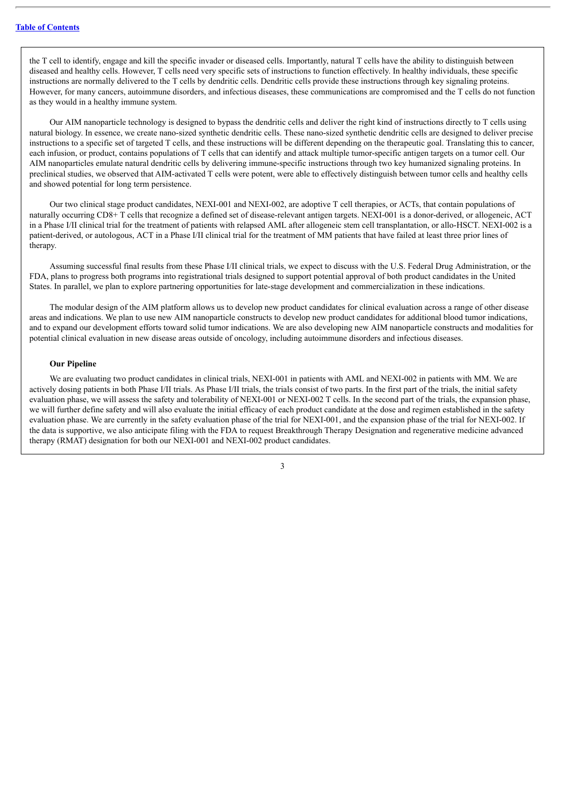the T cell to identify, engage and kill the specific invader or diseased cells. Importantly, natural T cells have the ability to distinguish between diseased and healthy cells. However, T cells need very specific sets of instructions to function effectively. In healthy individuals, these specific instructions are normally delivered to the T cells by dendritic cells. Dendritic cells provide these instructions through key signaling proteins. However, for many cancers, autoimmune disorders, and infectious diseases, these communications are compromised and the T cells do not function as they would in a healthy immune system.

Our AIM nanoparticle technology is designed to bypass the dendritic cells and deliver the right kind of instructions directly to T cells using natural biology. In essence, we create nano-sized synthetic dendritic cells. These nano-sized synthetic dendritic cells are designed to deliver precise instructions to a specific set of targeted T cells, and these instructions will be different depending on the therapeutic goal. Translating this to cancer, each infusion, or product, contains populations of T cells that can identify and attack multiple tumor-specific antigen targets on a tumor cell. Our AIM nanoparticles emulate natural dendritic cells by delivering immune-specific instructions through two key humanized signaling proteins. In preclinical studies, we observed that AIM-activated T cells were potent, were able to effectively distinguish between tumor cells and healthy cells and showed potential for long term persistence.

Our two clinical stage product candidates, NEXI-001 and NEXI-002, are adoptive T cell therapies, or ACTs, that contain populations of naturally occurring CD8+ T cells that recognize a defined set of disease-relevant antigen targets. NEXI-001 is a donor-derived, or allogeneic, ACT in a Phase I/II clinical trial for the treatment of patients with relapsed AML after allogeneic stem cell transplantation, or allo-HSCT. NEXI-002 is a patient-derived, or autologous, ACT in a Phase I/II clinical trial for the treatment of MM patients that have failed at least three prior lines of therapy.

Assuming successful final results from these Phase I/II clinical trials, we expect to discuss with the U.S. Federal Drug Administration, or the FDA, plans to progress both programs into registrational trials designed to support potential approval of both product candidates in the United States. In parallel, we plan to explore partnering opportunities for late-stage development and commercialization in these indications.

The modular design of the AIM platform allows us to develop new product candidates for clinical evaluation across a range of other disease areas and indications. We plan to use new AIM nanoparticle constructs to develop new product candidates for additional blood tumor indications, and to expand our development efforts toward solid tumor indications. We are also developing new AIM nanoparticle constructs and modalities for potential clinical evaluation in new disease areas outside of oncology, including autoimmune disorders and infectious diseases.

#### **Our Pipeline**

We are evaluating two product candidates in clinical trials, NEXI-001 in patients with AML and NEXI-002 in patients with MM. We are actively dosing patients in both Phase I/II trials. As Phase I/II trials, the trials consist of two parts. In the first part of the trials, the initial safety evaluation phase, we will assess the safety and tolerability of NEXI-001 or NEXI-002 T cells. In the second part of the trials, the expansion phase, we will further define safety and will also evaluate the initial efficacy of each product candidate at the dose and regimen established in the safety evaluation phase. We are currently in the safety evaluation phase of the trial for NEXI-001, and the expansion phase of the trial for NEXI-002. If the data is supportive, we also anticipate filing with the FDA to request Breakthrough Therapy Designation and regenerative medicine advanced therapy (RMAT) designation for both our NEXI-001 and NEXI-002 product candidates.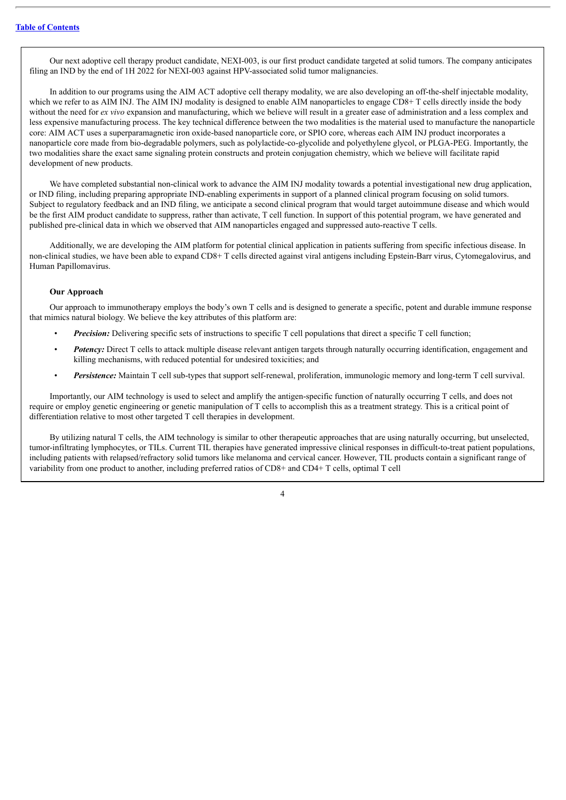Our next adoptive cell therapy product candidate, NEXI-003, is our first product candidate targeted at solid tumors. The company anticipates filing an IND by the end of 1H 2022 for NEXI-003 against HPV-associated solid tumor malignancies.

In addition to our programs using the AIM ACT adoptive cell therapy modality, we are also developing an off-the-shelf injectable modality, which we refer to as AIM INJ. The AIM INJ modality is designed to enable AIM nanoparticles to engage CD8+ T cells directly inside the body without the need for *ex vivo* expansion and manufacturing, which we believe will result in a greater ease of administration and a less complex and less expensive manufacturing process. The key technical difference between the two modalities is the material used to manufacture the nanoparticle core: AIM ACT uses a superparamagnetic iron oxide-based nanoparticle core, or SPIO core, whereas each AIM INJ product incorporates a nanoparticle core made from bio-degradable polymers, such as polylactide-co-glycolide and polyethylene glycol, or PLGA-PEG. Importantly, the two modalities share the exact same signaling protein constructs and protein conjugation chemistry, which we believe will facilitate rapid development of new products.

We have completed substantial non-clinical work to advance the AIM INJ modality towards a potential investigational new drug application, or IND filing, including preparing appropriate IND-enabling experiments in support of a planned clinical program focusing on solid tumors. Subject to regulatory feedback and an IND filing, we anticipate a second clinical program that would target autoimmune disease and which would be the first AIM product candidate to suppress, rather than activate, T cell function. In support of this potential program, we have generated and published pre-clinical data in which we observed that AIM nanoparticles engaged and suppressed auto-reactive T cells.

Additionally, we are developing the AIM platform for potential clinical application in patients suffering from specific infectious disease. In non-clinical studies, we have been able to expand CD8+ T cells directed against viral antigens including Epstein-Barr virus, Cytomegalovirus, and Human Papillomavirus.

#### **Our Approach**

Our approach to immunotherapy employs the body's own T cells and is designed to generate a specific, potent and durable immune response that mimics natural biology. We believe the key attributes of this platform are:

- *Precision:* Delivering specific sets of instructions to specific T cell populations that direct a specific T cell function;
- *Potency:* Direct T cells to attack multiple disease relevant antigen targets through naturally occurring identification, engagement and killing mechanisms, with reduced potential for undesired toxicities; and
- *Persistence:* Maintain T cell sub-types that support self-renewal, proliferation, immunologic memory and long-term T cell survival.

Importantly, our AIM technology is used to select and amplify the antigen-specific function of naturally occurring T cells, and does not require or employ genetic engineering or genetic manipulation of T cells to accomplish this as a treatment strategy. This is a critical point of differentiation relative to most other targeted T cell therapies in development.

By utilizing natural T cells, the AIM technology is similar to other therapeutic approaches that are using naturally occurring, but unselected, tumor-infiltrating lymphocytes, or TILs. Current TIL therapies have generated impressive clinical responses in difficult-to-treat patient populations, including patients with relapsed/refractory solid tumors like melanoma and cervical cancer. However, TIL products contain a significant range of variability from one product to another, including preferred ratios of CD8+ and CD4+ T cells, optimal T cell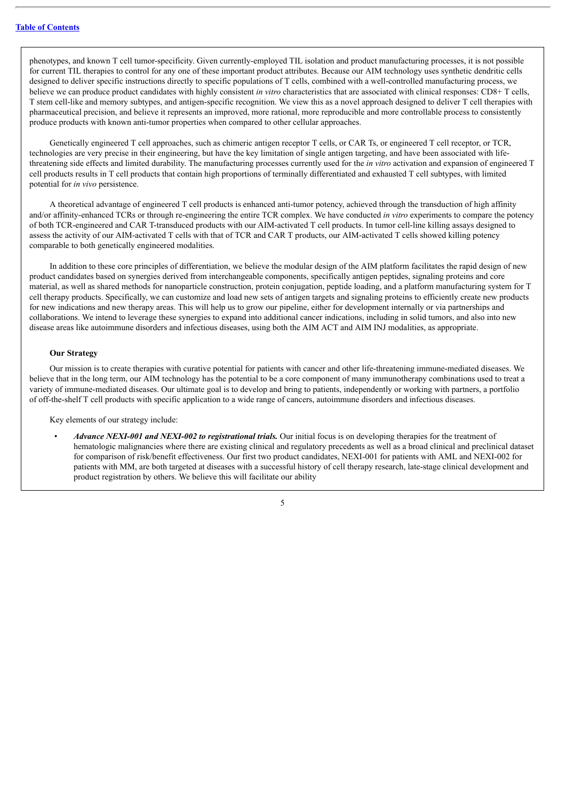phenotypes, and known T cell tumor-specificity. Given currently-employed TIL isolation and product manufacturing processes, it is not possible for current TIL therapies to control for any one of these important product attributes. Because our AIM technology uses synthetic dendritic cells designed to deliver specific instructions directly to specific populations of T cells, combined with a well-controlled manufacturing process, we believe we can produce product candidates with highly consistent *in vitro* characteristics that are associated with clinical responses: CD8+ T cells, T stem cell-like and memory subtypes, and antigen-specific recognition. We view this as a novel approach designed to deliver T cell therapies with pharmaceutical precision, and believe it represents an improved, more rational, more reproducible and more controllable process to consistently produce products with known anti-tumor properties when compared to other cellular approaches.

Genetically engineered T cell approaches, such as chimeric antigen receptor T cells, or CAR Ts, or engineered T cell receptor, or TCR, technologies are very precise in their engineering, but have the key limitation of single antigen targeting, and have been associated with lifethreatening side effects and limited durability. The manufacturing processes currently used for the *in vitro* activation and expansion of engineered T cell products results in T cell products that contain high proportions of terminally differentiated and exhausted T cell subtypes, with limited potential for *in vivo* persistence.

A theoretical advantage of engineered T cell products is enhanced anti-tumor potency, achieved through the transduction of high affinity and/or affinity-enhanced TCRs or through re-engineering the entire TCR complex. We have conducted *in vitro* experiments to compare the potency of both TCR-engineered and CAR T-transduced products with our AIM-activated T cell products. In tumor cell-line killing assays designed to assess the activity of our AIM-activated T cells with that of TCR and CAR T products, our AIM-activated T cells showed killing potency comparable to both genetically engineered modalities.

In addition to these core principles of differentiation, we believe the modular design of the AIM platform facilitates the rapid design of new product candidates based on synergies derived from interchangeable components, specifically antigen peptides, signaling proteins and core material, as well as shared methods for nanoparticle construction, protein conjugation, peptide loading, and a platform manufacturing system for T cell therapy products. Specifically, we can customize and load new sets of antigen targets and signaling proteins to efficiently create new products for new indications and new therapy areas. This will help us to grow our pipeline, either for development internally or via partnerships and collaborations. We intend to leverage these synergies to expand into additional cancer indications, including in solid tumors, and also into new disease areas like autoimmune disorders and infectious diseases, using both the AIM ACT and AIM INJ modalities, as appropriate.

# **Our Strategy**

Our mission is to create therapies with curative potential for patients with cancer and other life-threatening immune-mediated diseases. We believe that in the long term, our AIM technology has the potential to be a core component of many immunotherapy combinations used to treat a variety of immune-mediated diseases. Our ultimate goal is to develop and bring to patients, independently or working with partners, a portfolio of off-the-shelf T cell products with specific application to a wide range of cancers, autoimmune disorders and infectious diseases.

Key elements of our strategy include:

• *Advance NEXI-001 and NEXI-002 to registrational trials.* Our initial focus is on developing therapies for the treatment of hematologic malignancies where there are existing clinical and regulatory precedents as well as a broad clinical and preclinical dataset for comparison of risk/benefit effectiveness. Our first two product candidates, NEXI-001 for patients with AML and NEXI-002 for patients with MM, are both targeted at diseases with a successful history of cell therapy research, late-stage clinical development and product registration by others. We believe this will facilitate our ability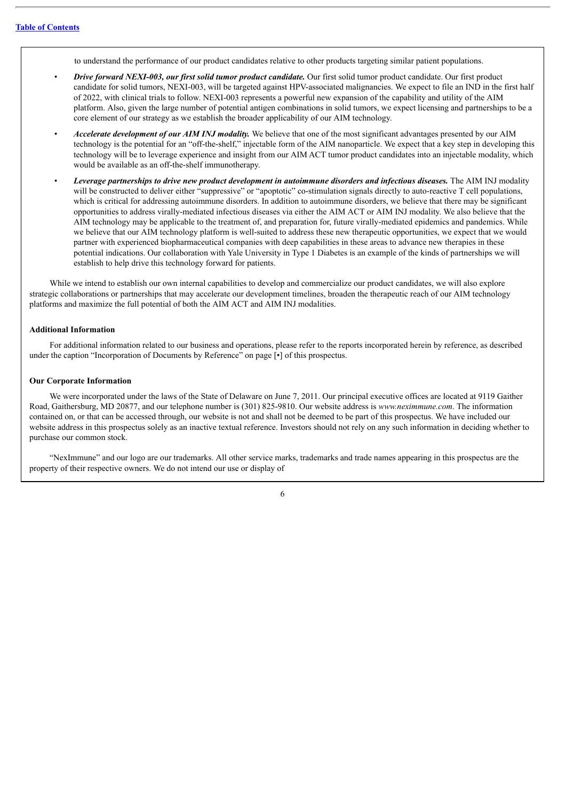to understand the performance of our product candidates relative to other products targeting similar patient populations.

- *Drive forward NEXI-003, our first solid tumor product candidate.* Our first solid tumor product candidate. Our first product candidate for solid tumors, NEXI-003, will be targeted against HPV-associated malignancies. We expect to file an IND in the first half of 2022, with clinical trials to follow. NEXI-003 represents a powerful new expansion of the capability and utility of the AIM platform. Also, given the large number of potential antigen combinations in solid tumors, we expect licensing and partnerships to be a core element of our strategy as we establish the broader applicability of our AIM technology.
- *Accelerate development of our AIM INJ modality.* We believe that one of the most significant advantages presented by our AIM technology is the potential for an "off-the-shelf," injectable form of the AIM nanoparticle. We expect that a key step in developing this technology will be to leverage experience and insight from our AIM ACT tumor product candidates into an injectable modality, which would be available as an off-the-shelf immunotherapy.
- *Leverage partnerships to drive new product development in autoimmune disorders and infectious diseases.* The AIM INJ modality will be constructed to deliver either "suppressive" or "apoptotic" co-stimulation signals directly to auto-reactive T cell populations, which is critical for addressing autoimmune disorders. In addition to autoimmune disorders, we believe that there may be significant opportunities to address virally-mediated infectious diseases via either the AIM ACT or AIM INJ modality. We also believe that the AIM technology may be applicable to the treatment of, and preparation for, future virally-mediated epidemics and pandemics. While we believe that our AIM technology platform is well-suited to address these new therapeutic opportunities, we expect that we would partner with experienced biopharmaceutical companies with deep capabilities in these areas to advance new therapies in these potential indications. Our collaboration with Yale University in Type 1 Diabetes is an example of the kinds of partnerships we will establish to help drive this technology forward for patients.

While we intend to establish our own internal capabilities to develop and commercialize our product candidates, we will also explore strategic collaborations or partnerships that may accelerate our development timelines, broaden the therapeutic reach of our AIM technology platforms and maximize the full potential of both the AIM ACT and AIM INJ modalities.

#### **Additional Information**

For additional information related to our business and operations, please refer to the reports incorporated herein by reference, as described under the caption "Incorporation of Documents by Reference" on page [•] of this prospectus.

#### **Our Corporate Information**

We were incorporated under the laws of the State of Delaware on June 7, 2011. Our principal executive offices are located at 9119 Gaither Road, Gaithersburg, MD 20877, and our telephone number is (301) 825-9810. Our website address is *www.neximmune.com*. The information contained on, or that can be accessed through, our website is not and shall not be deemed to be part of this prospectus. We have included our website address in this prospectus solely as an inactive textual reference. Investors should not rely on any such information in deciding whether to purchase our common stock.

"NexImmune" and our logo are our trademarks. All other service marks, trademarks and trade names appearing in this prospectus are the property of their respective owners. We do not intend our use or display of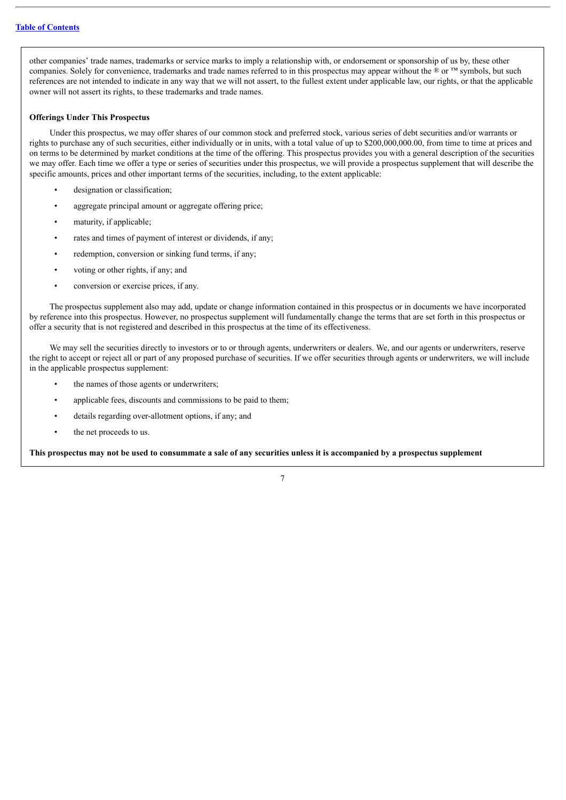other companies' trade names, trademarks or service marks to imply a relationship with, or endorsement or sponsorship of us by, these other companies. Solely for convenience, trademarks and trade names referred to in this prospectus may appear without the ® or ™ symbols, but such references are not intended to indicate in any way that we will not assert, to the fullest extent under applicable law, our rights, or that the applicable owner will not assert its rights, to these trademarks and trade names.

## **Offerings Under This Prospectus**

Under this prospectus, we may offer shares of our common stock and preferred stock, various series of debt securities and/or warrants or rights to purchase any of such securities, either individually or in units, with a total value of up to \$200,000,000.00, from time to time at prices and on terms to be determined by market conditions at the time of the offering. This prospectus provides you with a general description of the securities we may offer. Each time we offer a type or series of securities under this prospectus, we will provide a prospectus supplement that will describe the specific amounts, prices and other important terms of the securities, including, to the extent applicable:

- designation or classification:
- aggregate principal amount or aggregate offering price;
- maturity, if applicable;
- rates and times of payment of interest or dividends, if any;
- redemption, conversion or sinking fund terms, if any;
- voting or other rights, if any; and
- conversion or exercise prices, if any.

The prospectus supplement also may add, update or change information contained in this prospectus or in documents we have incorporated by reference into this prospectus. However, no prospectus supplement will fundamentally change the terms that are set forth in this prospectus or offer a security that is not registered and described in this prospectus at the time of its effectiveness.

We may sell the securities directly to investors or to or through agents, underwriters or dealers. We, and our agents or underwriters, reserve the right to accept or reject all or part of any proposed purchase of securities. If we offer securities through agents or underwriters, we will include in the applicable prospectus supplement:

- the names of those agents or underwriters;
- applicable fees, discounts and commissions to be paid to them;
- details regarding over-allotment options, if any; and
- the net proceeds to us.

This prospectus may not be used to consummate a sale of any securities unless it is accompanied by a prospectus supplement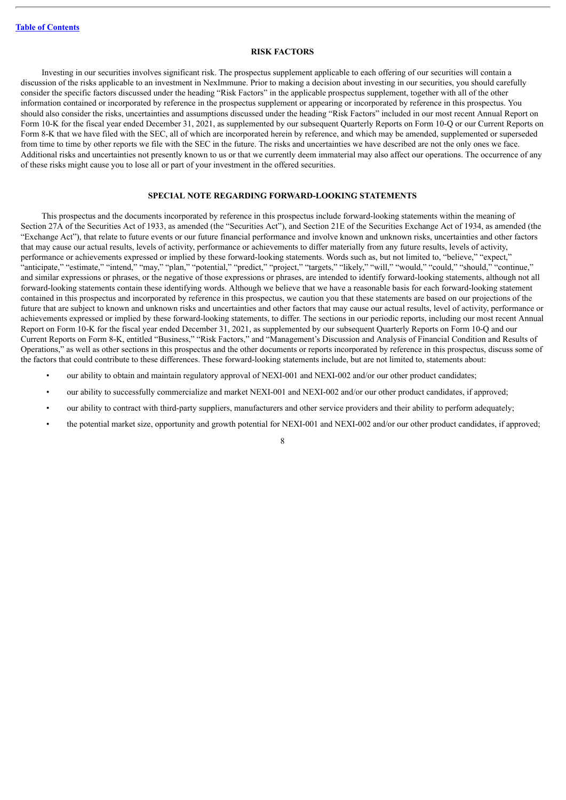#### **RISK FACTORS**

<span id="page-23-0"></span>Investing in our securities involves significant risk. The prospectus supplement applicable to each offering of our securities will contain a discussion of the risks applicable to an investment in NexImmune. Prior to making a decision about investing in our securities, you should carefully consider the specific factors discussed under the heading "Risk Factors" in the applicable prospectus supplement, together with all of the other information contained or incorporated by reference in the prospectus supplement or appearing or incorporated by reference in this prospectus. You should also consider the risks, uncertainties and assumptions discussed under the heading "Risk Factors" included in our most recent Annual Report on Form 10-K for the fiscal year ended December 31, 2021, as supplemented by our subsequent Quarterly Reports on Form 10-Q or our Current Reports on Form 8-K that we have filed with the SEC, all of which are incorporated herein by reference, and which may be amended, supplemented or superseded from time to time by other reports we file with the SEC in the future. The risks and uncertainties we have described are not the only ones we face. Additional risks and uncertainties not presently known to us or that we currently deem immaterial may also affect our operations. The occurrence of any of these risks might cause you to lose all or part of your investment in the offered securities.

# **SPECIAL NOTE REGARDING FORWARD-LOOKING STATEMENTS**

<span id="page-23-1"></span>This prospectus and the documents incorporated by reference in this prospectus include forward-looking statements within the meaning of Section 27A of the Securities Act of 1933, as amended (the "Securities Act"), and Section 21E of the Securities Exchange Act of 1934, as amended (the "Exchange Act"), that relate to future events or our future financial performance and involve known and unknown risks, uncertainties and other factors that may cause our actual results, levels of activity, performance or achievements to differ materially from any future results, levels of activity, performance or achievements expressed or implied by these forward-looking statements. Words such as, but not limited to, "believe," "expect," "anticipate," "estimate," "intend," "may," "plan," "potential," "predict," "project," "targets," "likely," "will," "would," "could," "should," "continue," and similar expressions or phrases, or the negative of those expressions or phrases, are intended to identify forward-looking statements, although not all forward-looking statements contain these identifying words. Although we believe that we have a reasonable basis for each forward-looking statement contained in this prospectus and incorporated by reference in this prospectus, we caution you that these statements are based on our projections of the future that are subject to known and unknown risks and uncertainties and other factors that may cause our actual results, level of activity, performance or achievements expressed or implied by these forward-looking statements, to differ. The sections in our periodic reports, including our most recent Annual Report on Form 10-K for the fiscal year ended December 31, 2021, as supplemented by our subsequent Quarterly Reports on Form 10-Q and our Current Reports on Form 8-K, entitled "Business," "Risk Factors," and "Management's Discussion and Analysis of Financial Condition and Results of Operations," as well as other sections in this prospectus and the other documents or reports incorporated by reference in this prospectus, discuss some of the factors that could contribute to these differences. These forward-looking statements include, but are not limited to, statements about:

- our ability to obtain and maintain regulatory approval of NEXI-001 and NEXI-002 and/or our other product candidates;
- our ability to successfully commercialize and market NEXI-001 and NEXI-002 and/or our other product candidates, if approved;
- our ability to contract with third-party suppliers, manufacturers and other service providers and their ability to perform adequately;
- the potential market size, opportunity and growth potential for NEXI-001 and NEXI-002 and/or our other product candidates, if approved;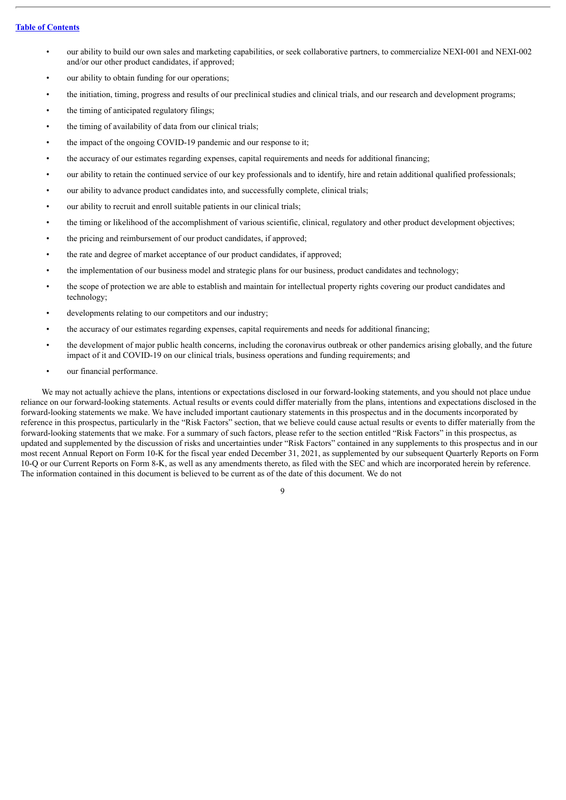- our ability to build our own sales and marketing capabilities, or seek collaborative partners, to commercialize NEXI-001 and NEXI-002 and/or our other product candidates, if approved;
- our ability to obtain funding for our operations;
- the initiation, timing, progress and results of our preclinical studies and clinical trials, and our research and development programs;
- the timing of anticipated regulatory filings;
- the timing of availability of data from our clinical trials;
- the impact of the ongoing COVID-19 pandemic and our response to it;
- the accuracy of our estimates regarding expenses, capital requirements and needs for additional financing;
- our ability to retain the continued service of our key professionals and to identify, hire and retain additional qualified professionals;
- our ability to advance product candidates into, and successfully complete, clinical trials;
- our ability to recruit and enroll suitable patients in our clinical trials;
- the timing or likelihood of the accomplishment of various scientific, clinical, regulatory and other product development objectives;
- the pricing and reimbursement of our product candidates, if approved;
- the rate and degree of market acceptance of our product candidates, if approved;
- the implementation of our business model and strategic plans for our business, product candidates and technology;
- the scope of protection we are able to establish and maintain for intellectual property rights covering our product candidates and technology;
- developments relating to our competitors and our industry;
- the accuracy of our estimates regarding expenses, capital requirements and needs for additional financing;
- the development of major public health concerns, including the coronavirus outbreak or other pandemics arising globally, and the future impact of it and COVID-19 on our clinical trials, business operations and funding requirements; and
- our financial performance.

We may not actually achieve the plans, intentions or expectations disclosed in our forward-looking statements, and you should not place undue reliance on our forward-looking statements. Actual results or events could differ materially from the plans, intentions and expectations disclosed in the forward-looking statements we make. We have included important cautionary statements in this prospectus and in the documents incorporated by reference in this prospectus, particularly in the "Risk Factors" section, that we believe could cause actual results or events to differ materially from the forward-looking statements that we make. For a summary of such factors, please refer to the section entitled "Risk Factors" in this prospectus, as updated and supplemented by the discussion of risks and uncertainties under "Risk Factors" contained in any supplements to this prospectus and in our most recent Annual Report on Form 10-K for the fiscal year ended December 31, 2021, as supplemented by our subsequent Quarterly Reports on Form 10-Q or our Current Reports on Form 8-K, as well as any amendments thereto, as filed with the SEC and which are incorporated herein by reference. The information contained in this document is believed to be current as of the date of this document. We do not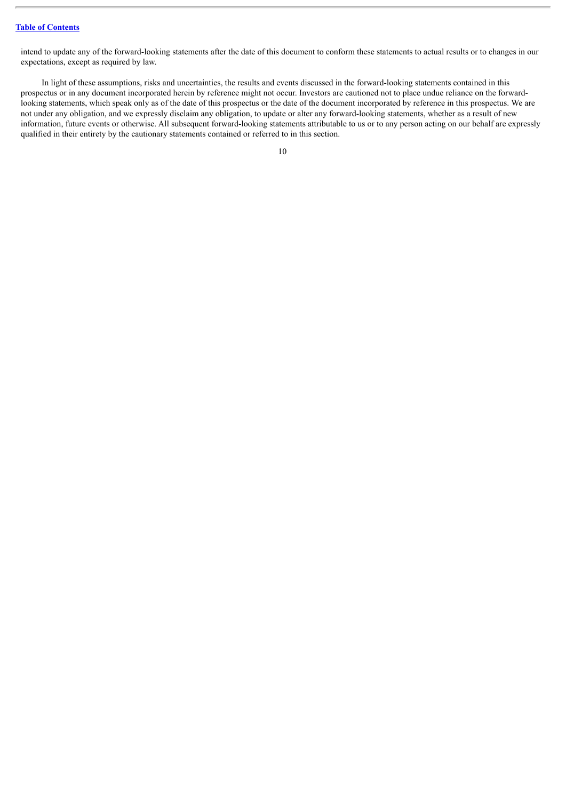intend to update any of the forward-looking statements after the date of this document to conform these statements to actual results or to changes in our expectations, except as required by law.

In light of these assumptions, risks and uncertainties, the results and events discussed in the forward-looking statements contained in this prospectus or in any document incorporated herein by reference might not occur. Investors are cautioned not to place undue reliance on the forwardlooking statements, which speak only as of the date of this prospectus or the date of the document incorporated by reference in this prospectus. We are not under any obligation, and we expressly disclaim any obligation, to update or alter any forward-looking statements, whether as a result of new information, future events or otherwise. All subsequent forward-looking statements attributable to us or to any person acting on our behalf are expressly qualified in their entirety by the cautionary statements contained or referred to in this section.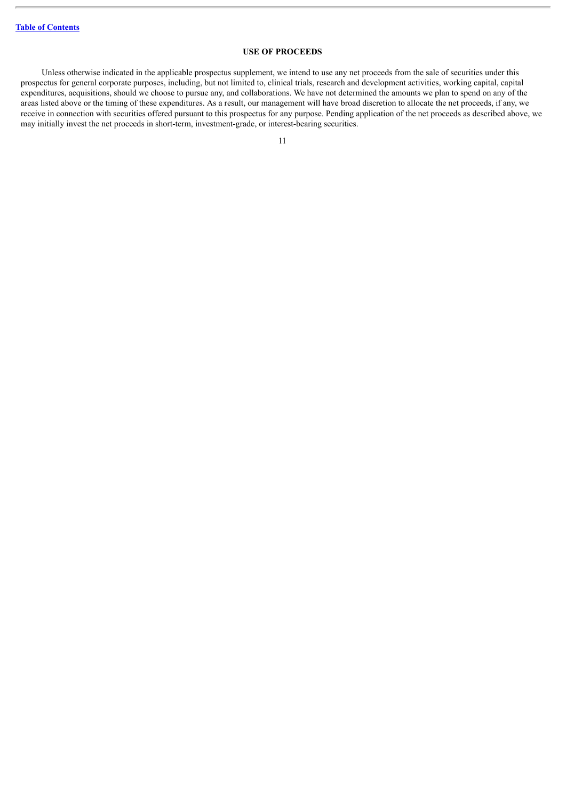# **USE OF PROCEEDS**

<span id="page-26-0"></span>Unless otherwise indicated in the applicable prospectus supplement, we intend to use any net proceeds from the sale of securities under this prospectus for general corporate purposes, including, but not limited to, clinical trials, research and development activities, working capital, capital expenditures, acquisitions, should we choose to pursue any, and collaborations. We have not determined the amounts we plan to spend on any of the areas listed above or the timing of these expenditures. As a result, our management will have broad discretion to allocate the net proceeds, if any, we receive in connection with securities offered pursuant to this prospectus for any purpose. Pending application of the net proceeds as described above, we may initially invest the net proceeds in short-term, investment-grade, or interest-bearing securities.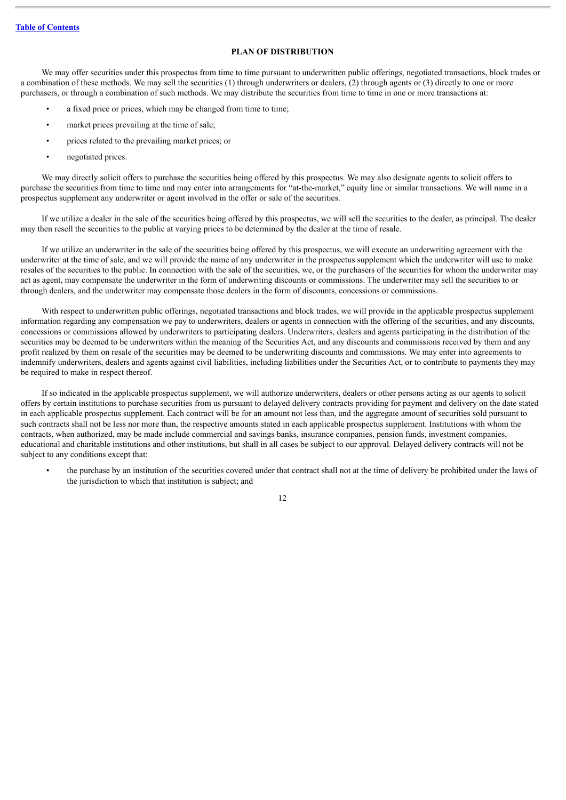# **PLAN OF DISTRIBUTION**

<span id="page-27-0"></span>We may offer securities under this prospectus from time to time pursuant to underwritten public offerings, negotiated transactions, block trades or a combination of these methods. We may sell the securities (1) through underwriters or dealers, (2) through agents or (3) directly to one or more purchasers, or through a combination of such methods. We may distribute the securities from time to time in one or more transactions at:

- a fixed price or prices, which may be changed from time to time;
- market prices prevailing at the time of sale;
- prices related to the prevailing market prices; or
- negotiated prices.

We may directly solicit offers to purchase the securities being offered by this prospectus. We may also designate agents to solicit offers to purchase the securities from time to time and may enter into arrangements for "at-the-market," equity line or similar transactions. We will name in a prospectus supplement any underwriter or agent involved in the offer or sale of the securities.

If we utilize a dealer in the sale of the securities being offered by this prospectus, we will sell the securities to the dealer, as principal. The dealer may then resell the securities to the public at varying prices to be determined by the dealer at the time of resale.

If we utilize an underwriter in the sale of the securities being offered by this prospectus, we will execute an underwriting agreement with the underwriter at the time of sale, and we will provide the name of any underwriter in the prospectus supplement which the underwriter will use to make resales of the securities to the public. In connection with the sale of the securities, we, or the purchasers of the securities for whom the underwriter may act as agent, may compensate the underwriter in the form of underwriting discounts or commissions. The underwriter may sell the securities to or through dealers, and the underwriter may compensate those dealers in the form of discounts, concessions or commissions.

With respect to underwritten public offerings, negotiated transactions and block trades, we will provide in the applicable prospectus supplement information regarding any compensation we pay to underwriters, dealers or agents in connection with the offering of the securities, and any discounts, concessions or commissions allowed by underwriters to participating dealers. Underwriters, dealers and agents participating in the distribution of the securities may be deemed to be underwriters within the meaning of the Securities Act, and any discounts and commissions received by them and any profit realized by them on resale of the securities may be deemed to be underwriting discounts and commissions. We may enter into agreements to indemnify underwriters, dealers and agents against civil liabilities, including liabilities under the Securities Act, or to contribute to payments they may be required to make in respect thereof.

If so indicated in the applicable prospectus supplement, we will authorize underwriters, dealers or other persons acting as our agents to solicit offers by certain institutions to purchase securities from us pursuant to delayed delivery contracts providing for payment and delivery on the date stated in each applicable prospectus supplement. Each contract will be for an amount not less than, and the aggregate amount of securities sold pursuant to such contracts shall not be less nor more than, the respective amounts stated in each applicable prospectus supplement. Institutions with whom the contracts, when authorized, may be made include commercial and savings banks, insurance companies, pension funds, investment companies, educational and charitable institutions and other institutions, but shall in all cases be subject to our approval. Delayed delivery contracts will not be subject to any conditions except that:

• the purchase by an institution of the securities covered under that contract shall not at the time of delivery be prohibited under the laws of the jurisdiction to which that institution is subject; and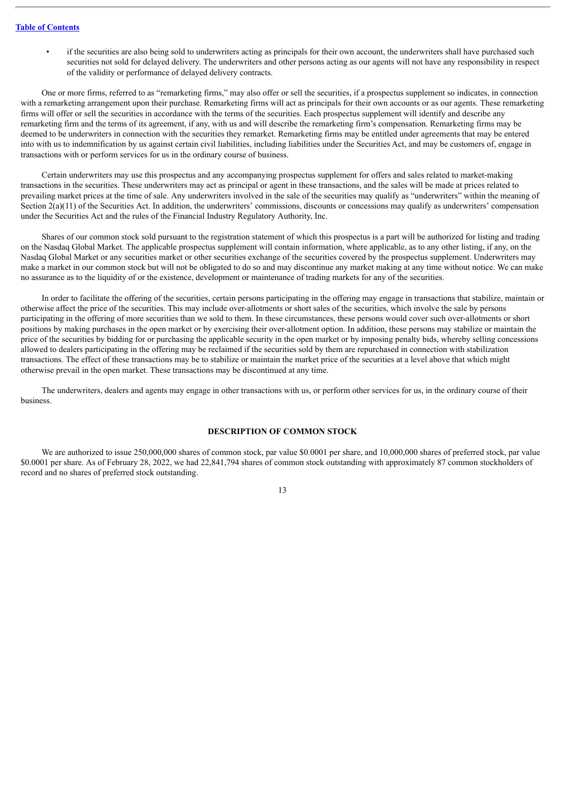if the securities are also being sold to underwriters acting as principals for their own account, the underwriters shall have purchased such securities not sold for delayed delivery. The underwriters and other persons acting as our agents will not have any responsibility in respect of the validity or performance of delayed delivery contracts.

One or more firms, referred to as "remarketing firms," may also offer or sell the securities, if a prospectus supplement so indicates, in connection with a remarketing arrangement upon their purchase. Remarketing firms will act as principals for their own accounts or as our agents. These remarketing firms will offer or sell the securities in accordance with the terms of the securities. Each prospectus supplement will identify and describe any remarketing firm and the terms of its agreement, if any, with us and will describe the remarketing firm's compensation. Remarketing firms may be deemed to be underwriters in connection with the securities they remarket. Remarketing firms may be entitled under agreements that may be entered into with us to indemnification by us against certain civil liabilities, including liabilities under the Securities Act, and may be customers of, engage in transactions with or perform services for us in the ordinary course of business.

Certain underwriters may use this prospectus and any accompanying prospectus supplement for offers and sales related to market-making transactions in the securities. These underwriters may act as principal or agent in these transactions, and the sales will be made at prices related to prevailing market prices at the time of sale. Any underwriters involved in the sale of the securities may qualify as "underwriters" within the meaning of Section  $2(a)(11)$  of the Securities Act. In addition, the underwriters' commissions, discounts or concessions may qualify as underwriters' compensation under the Securities Act and the rules of the Financial Industry Regulatory Authority, Inc.

Shares of our common stock sold pursuant to the registration statement of which this prospectus is a part will be authorized for listing and trading on the Nasdaq Global Market. The applicable prospectus supplement will contain information, where applicable, as to any other listing, if any, on the Nasdaq Global Market or any securities market or other securities exchange of the securities covered by the prospectus supplement. Underwriters may make a market in our common stock but will not be obligated to do so and may discontinue any market making at any time without notice. We can make no assurance as to the liquidity of or the existence, development or maintenance of trading markets for any of the securities.

In order to facilitate the offering of the securities, certain persons participating in the offering may engage in transactions that stabilize, maintain or otherwise affect the price of the securities. This may include over-allotments or short sales of the securities, which involve the sale by persons participating in the offering of more securities than we sold to them. In these circumstances, these persons would cover such over-allotments or short positions by making purchases in the open market or by exercising their over-allotment option. In addition, these persons may stabilize or maintain the price of the securities by bidding for or purchasing the applicable security in the open market or by imposing penalty bids, whereby selling concessions allowed to dealers participating in the offering may be reclaimed if the securities sold by them are repurchased in connection with stabilization transactions. The effect of these transactions may be to stabilize or maintain the market price of the securities at a level above that which might otherwise prevail in the open market. These transactions may be discontinued at any time.

The underwriters, dealers and agents may engage in other transactions with us, or perform other services for us, in the ordinary course of their business.

# **DESCRIPTION OF COMMON STOCK**

<span id="page-28-0"></span>We are authorized to issue 250,000,000 shares of common stock, par value \$0.0001 per share, and 10,000,000 shares of preferred stock, par value \$0.0001 per share. As of February 28, 2022, we had 22,841,794 shares of common stock outstanding with approximately 87 common stockholders of record and no shares of preferred stock outstanding.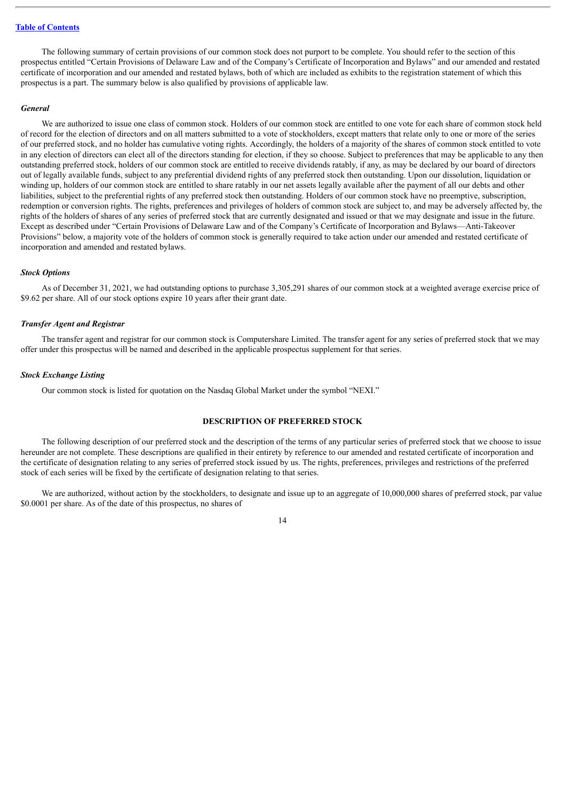The following summary of certain provisions of our common stock does not purport to be complete. You should refer to the section of this prospectus entitled "Certain Provisions of Delaware Law and of the Company's Certificate of Incorporation and Bylaws" and our amended and restated certificate of incorporation and our amended and restated bylaws, both of which are included as exhibits to the registration statement of which this prospectus is a part. The summary below is also qualified by provisions of applicable law.

#### *General*

We are authorized to issue one class of common stock. Holders of our common stock are entitled to one vote for each share of common stock held of record for the election of directors and on all matters submitted to a vote of stockholders, except matters that relate only to one or more of the series of our preferred stock, and no holder has cumulative voting rights. Accordingly, the holders of a majority of the shares of common stock entitled to vote in any election of directors can elect all of the directors standing for election, if they so choose. Subject to preferences that may be applicable to any then outstanding preferred stock, holders of our common stock are entitled to receive dividends ratably, if any, as may be declared by our board of directors out of legally available funds, subject to any preferential dividend rights of any preferred stock then outstanding. Upon our dissolution, liquidation or winding up, holders of our common stock are entitled to share ratably in our net assets legally available after the payment of all our debts and other liabilities, subject to the preferential rights of any preferred stock then outstanding. Holders of our common stock have no preemptive, subscription, redemption or conversion rights. The rights, preferences and privileges of holders of common stock are subject to, and may be adversely affected by, the rights of the holders of shares of any series of preferred stock that are currently designated and issued or that we may designate and issue in the future. Except as described under "Certain Provisions of Delaware Law and of the Company's Certificate of Incorporation and Bylaws—Anti-Takeover Provisions" below, a majority vote of the holders of common stock is generally required to take action under our amended and restated certificate of incorporation and amended and restated bylaws.

#### *Stock Options*

As of December 31, 2021, we had outstanding options to purchase 3,305,291 shares of our common stock at a weighted average exercise price of \$9.62 per share. All of our stock options expire 10 years after their grant date.

#### *Transfer Agent and Registrar*

The transfer agent and registrar for our common stock is Computershare Limited. The transfer agent for any series of preferred stock that we may offer under this prospectus will be named and described in the applicable prospectus supplement for that series.

#### *Stock Exchange Listing*

Our common stock is listed for quotation on the Nasdaq Global Market under the symbol "NEXI."

## **DESCRIPTION OF PREFERRED STOCK**

<span id="page-29-0"></span>The following description of our preferred stock and the description of the terms of any particular series of preferred stock that we choose to issue hereunder are not complete. These descriptions are qualified in their entirety by reference to our amended and restated certificate of incorporation and the certificate of designation relating to any series of preferred stock issued by us. The rights, preferences, privileges and restrictions of the preferred stock of each series will be fixed by the certificate of designation relating to that series.

We are authorized, without action by the stockholders, to designate and issue up to an aggregate of 10,000,000 shares of preferred stock, par value \$0.0001 per share. As of the date of this prospectus, no shares of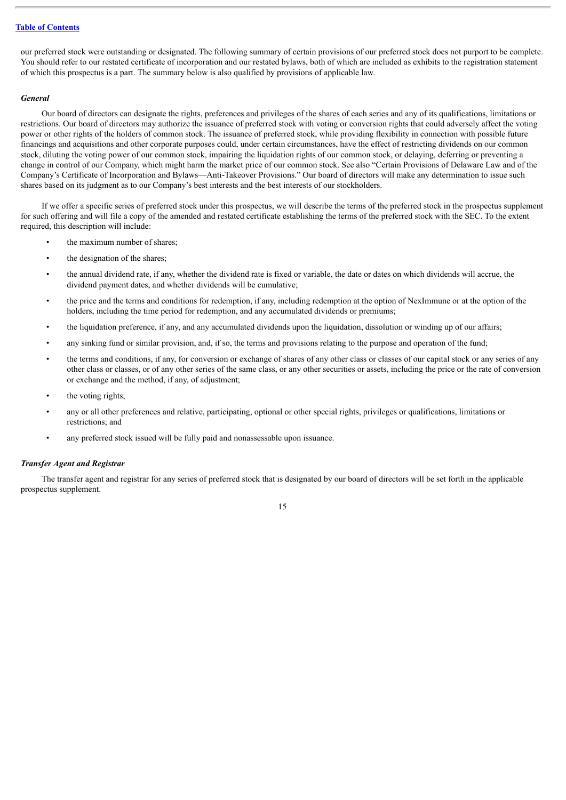our preferred stock were outstanding or designated. The following summary of certain provisions of our preferred stock does not purport to be complete. You should refer to our restated certificate of incorporation and our restated bylaws, both of which are included as exhibits to the registration statement of which this prospectus is a part. The summary below is also qualified by provisions of applicable law.

#### *General*

Our board of directors can designate the rights, preferences and privileges of the shares of each series and any of its qualifications, limitations or restrictions. Our board of directors may authorize the issuance of preferred stock with voting or conversion rights that could adversely affect the voting power or other rights of the holders of common stock. The issuance of preferred stock, while providing flexibility in connection with possible future financings and acquisitions and other corporate purposes could, under certain circumstances, have the effect of restricting dividends on our common stock, diluting the voting power of our common stock, impairing the liquidation rights of our common stock, or delaying, deferring or preventing a change in control of our Company, which might harm the market price of our common stock. See also "Certain Provisions of Delaware Law and of the Company's Certificate of Incorporation and Bylaws—Anti-Takeover Provisions." Our board of directors will make any determination to issue such shares based on its judgment as to our Company's best interests and the best interests of our stockholders.

If we offer a specific series of preferred stock under this prospectus, we will describe the terms of the preferred stock in the prospectus supplement for such offering and will file a copy of the amended and restated certificate establishing the terms of the preferred stock with the SEC. To the extent required, this description will include:

- the maximum number of shares:
- the designation of the shares;
- the annual dividend rate, if any, whether the dividend rate is fixed or variable, the date or dates on which dividends will accrue, the dividend payment dates, and whether dividends will be cumulative;
- the price and the terms and conditions for redemption, if any, including redemption at the option of NexImmune or at the option of the holders, including the time period for redemption, and any accumulated dividends or premiums;
- the liquidation preference, if any, and any accumulated dividends upon the liquidation, dissolution or winding up of our affairs;
- any sinking fund or similar provision, and, if so, the terms and provisions relating to the purpose and operation of the fund;
- the terms and conditions, if any, for conversion or exchange of shares of any other class or classes of our capital stock or any series of any other class or classes, or of any other series of the same class, or any other securities or assets, including the price or the rate of conversion or exchange and the method, if any, of adjustment;
- the voting rights;
- any or all other preferences and relative, participating, optional or other special rights, privileges or qualifications, limitations or restrictions; and
- any preferred stock issued will be fully paid and nonassessable upon issuance.

# *Transfer Agent and Registrar*

The transfer agent and registrar for any series of preferred stock that is designated by our board of directors will be set forth in the applicable prospectus supplement.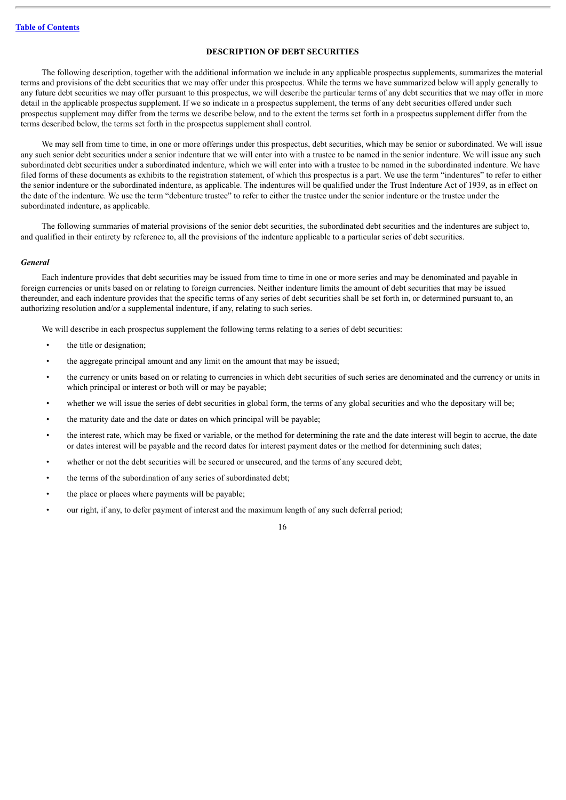# **DESCRIPTION OF DEBT SECURITIES**

<span id="page-31-0"></span>The following description, together with the additional information we include in any applicable prospectus supplements, summarizes the material terms and provisions of the debt securities that we may offer under this prospectus. While the terms we have summarized below will apply generally to any future debt securities we may offer pursuant to this prospectus, we will describe the particular terms of any debt securities that we may offer in more detail in the applicable prospectus supplement. If we so indicate in a prospectus supplement, the terms of any debt securities offered under such prospectus supplement may differ from the terms we describe below, and to the extent the terms set forth in a prospectus supplement differ from the terms described below, the terms set forth in the prospectus supplement shall control.

We may sell from time to time, in one or more offerings under this prospectus, debt securities, which may be senior or subordinated. We will issue any such senior debt securities under a senior indenture that we will enter into with a trustee to be named in the senior indenture. We will issue any such subordinated debt securities under a subordinated indenture, which we will enter into with a trustee to be named in the subordinated indenture. We have filed forms of these documents as exhibits to the registration statement, of which this prospectus is a part. We use the term "indentures" to refer to either the senior indenture or the subordinated indenture, as applicable. The indentures will be qualified under the Trust Indenture Act of 1939, as in effect on the date of the indenture. We use the term "debenture trustee" to refer to either the trustee under the senior indenture or the trustee under the subordinated indenture, as applicable.

The following summaries of material provisions of the senior debt securities, the subordinated debt securities and the indentures are subject to, and qualified in their entirety by reference to, all the provisions of the indenture applicable to a particular series of debt securities.

#### *General*

Each indenture provides that debt securities may be issued from time to time in one or more series and may be denominated and payable in foreign currencies or units based on or relating to foreign currencies. Neither indenture limits the amount of debt securities that may be issued thereunder, and each indenture provides that the specific terms of any series of debt securities shall be set forth in, or determined pursuant to, an authorizing resolution and/or a supplemental indenture, if any, relating to such series.

We will describe in each prospectus supplement the following terms relating to a series of debt securities:

- the title or designation:
- the aggregate principal amount and any limit on the amount that may be issued;
- the currency or units based on or relating to currencies in which debt securities of such series are denominated and the currency or units in which principal or interest or both will or may be payable;
- whether we will issue the series of debt securities in global form, the terms of any global securities and who the depositary will be:
- the maturity date and the date or dates on which principal will be payable;
- the interest rate, which may be fixed or variable, or the method for determining the rate and the date interest will begin to accrue, the date or dates interest will be payable and the record dates for interest payment dates or the method for determining such dates;
- whether or not the debt securities will be secured or unsecured, and the terms of any secured debt;
- the terms of the subordination of any series of subordinated debt;
- the place or places where payments will be payable;
- our right, if any, to defer payment of interest and the maximum length of any such deferral period;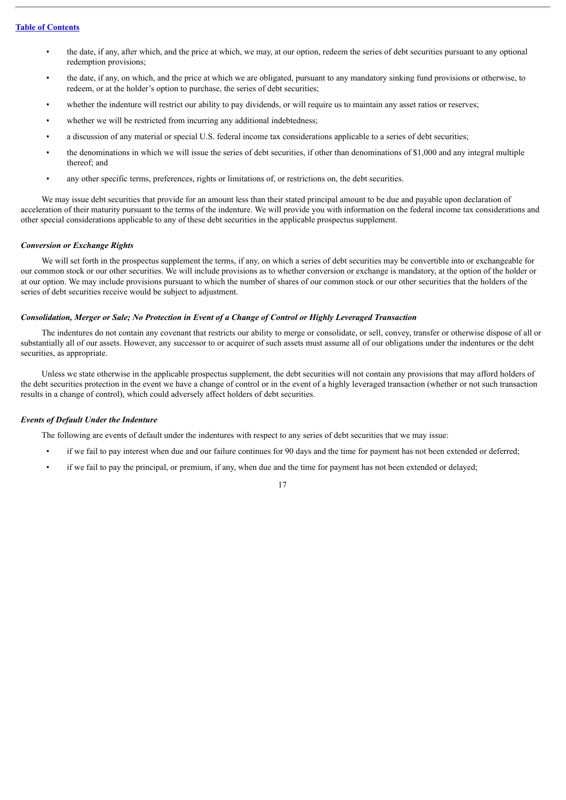- the date, if any, after which, and the price at which, we may, at our option, redeem the series of debt securities pursuant to any optional redemption provisions;
- the date, if any, on which, and the price at which we are obligated, pursuant to any mandatory sinking fund provisions or otherwise, to redeem, or at the holder's option to purchase, the series of debt securities;
- whether the indenture will restrict our ability to pay dividends, or will require us to maintain any asset ratios or reserves;
- whether we will be restricted from incurring any additional indebtedness;
- a discussion of any material or special U.S. federal income tax considerations applicable to a series of debt securities;
- the denominations in which we will issue the series of debt securities, if other than denominations of \$1,000 and any integral multiple thereof; and
- any other specific terms, preferences, rights or limitations of, or restrictions on, the debt securities.

We may issue debt securities that provide for an amount less than their stated principal amount to be due and payable upon declaration of acceleration of their maturity pursuant to the terms of the indenture. We will provide you with information on the federal income tax considerations and other special considerations applicable to any of these debt securities in the applicable prospectus supplement.

## *Conversion or Exchange Rights*

We will set forth in the prospectus supplement the terms, if any, on which a series of debt securities may be convertible into or exchangeable for our common stock or our other securities. We will include provisions as to whether conversion or exchange is mandatory, at the option of the holder or at our option. We may include provisions pursuant to which the number of shares of our common stock or our other securities that the holders of the series of debt securities receive would be subject to adjustment.

# Consolidation, Merger or Sale; No Protection in Event of a Change of Control or Highly Leveraged Transaction

The indentures do not contain any covenant that restricts our ability to merge or consolidate, or sell, convey, transfer or otherwise dispose of all or substantially all of our assets. However, any successor to or acquirer of such assets must assume all of our obligations under the indentures or the debt securities, as appropriate.

Unless we state otherwise in the applicable prospectus supplement, the debt securities will not contain any provisions that may afford holders of the debt securities protection in the event we have a change of control or in the event of a highly leveraged transaction (whether or not such transaction results in a change of control), which could adversely affect holders of debt securities.

#### *Events of Default Under the Indenture*

The following are events of default under the indentures with respect to any series of debt securities that we may issue:

- if we fail to pay interest when due and our failure continues for 90 days and the time for payment has not been extended or deferred;
- if we fail to pay the principal, or premium, if any, when due and the time for payment has not been extended or delayed;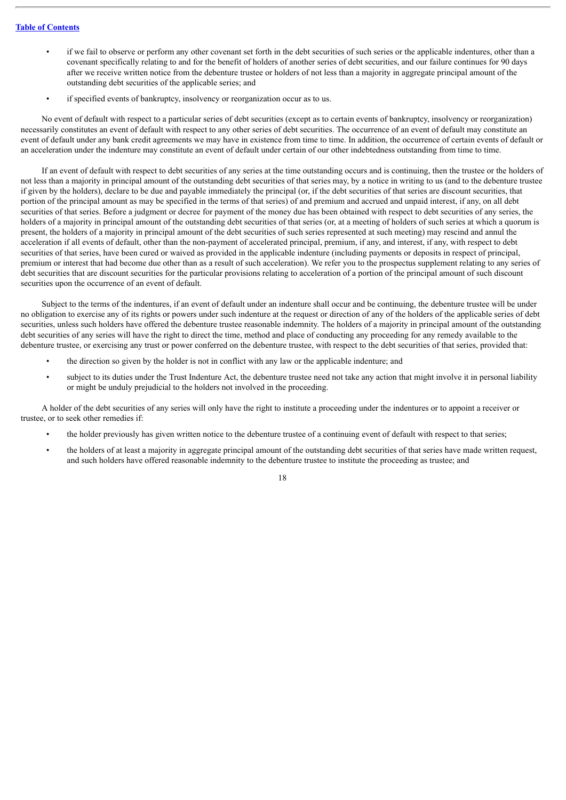- if we fail to observe or perform any other covenant set forth in the debt securities of such series or the applicable indentures, other than a covenant specifically relating to and for the benefit of holders of another series of debt securities, and our failure continues for 90 days after we receive written notice from the debenture trustee or holders of not less than a majority in aggregate principal amount of the outstanding debt securities of the applicable series; and
- if specified events of bankruptcy, insolvency or reorganization occur as to us.

No event of default with respect to a particular series of debt securities (except as to certain events of bankruptcy, insolvency or reorganization) necessarily constitutes an event of default with respect to any other series of debt securities. The occurrence of an event of default may constitute an event of default under any bank credit agreements we may have in existence from time to time. In addition, the occurrence of certain events of default or an acceleration under the indenture may constitute an event of default under certain of our other indebtedness outstanding from time to time.

If an event of default with respect to debt securities of any series at the time outstanding occurs and is continuing, then the trustee or the holders of not less than a majority in principal amount of the outstanding debt securities of that series may, by a notice in writing to us (and to the debenture trustee if given by the holders), declare to be due and payable immediately the principal (or, if the debt securities of that series are discount securities, that portion of the principal amount as may be specified in the terms of that series) of and premium and accrued and unpaid interest, if any, on all debt securities of that series. Before a judgment or decree for payment of the money due has been obtained with respect to debt securities of any series, the holders of a majority in principal amount of the outstanding debt securities of that series (or, at a meeting of holders of such series at which a quorum is present, the holders of a majority in principal amount of the debt securities of such series represented at such meeting) may rescind and annul the acceleration if all events of default, other than the non-payment of accelerated principal, premium, if any, and interest, if any, with respect to debt securities of that series, have been cured or waived as provided in the applicable indenture (including payments or deposits in respect of principal, premium or interest that had become due other than as a result of such acceleration). We refer you to the prospectus supplement relating to any series of debt securities that are discount securities for the particular provisions relating to acceleration of a portion of the principal amount of such discount securities upon the occurrence of an event of default.

Subject to the terms of the indentures, if an event of default under an indenture shall occur and be continuing, the debenture trustee will be under no obligation to exercise any of its rights or powers under such indenture at the request or direction of any of the holders of the applicable series of debt securities, unless such holders have offered the debenture trustee reasonable indemnity. The holders of a majority in principal amount of the outstanding debt securities of any series will have the right to direct the time, method and place of conducting any proceeding for any remedy available to the debenture trustee, or exercising any trust or power conferred on the debenture trustee, with respect to the debt securities of that series, provided that:

- the direction so given by the holder is not in conflict with any law or the applicable indenture; and
- subject to its duties under the Trust Indenture Act, the debenture trustee need not take any action that might involve it in personal liability or might be unduly prejudicial to the holders not involved in the proceeding.

A holder of the debt securities of any series will only have the right to institute a proceeding under the indentures or to appoint a receiver or trustee, or to seek other remedies if:

- the holder previously has given written notice to the debenture trustee of a continuing event of default with respect to that series;
- the holders of at least a majority in aggregate principal amount of the outstanding debt securities of that series have made written request, and such holders have offered reasonable indemnity to the debenture trustee to institute the proceeding as trustee; and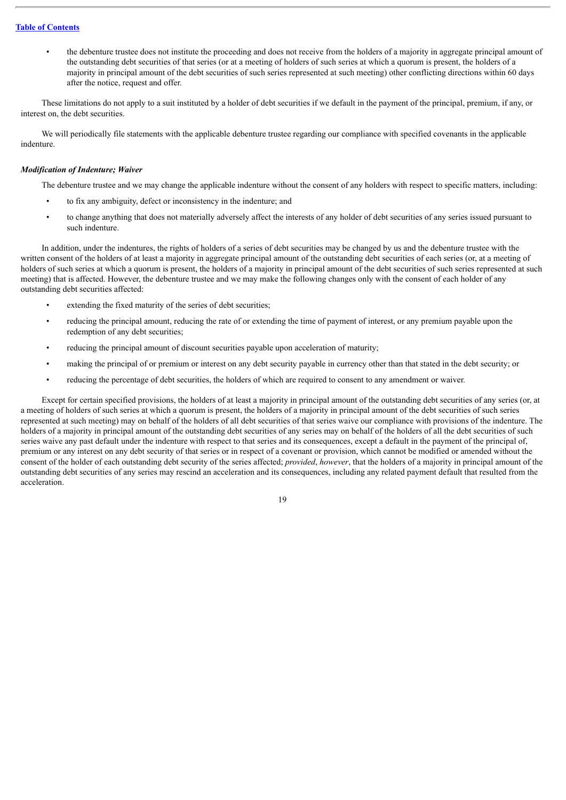• the debenture trustee does not institute the proceeding and does not receive from the holders of a majority in aggregate principal amount of the outstanding debt securities of that series (or at a meeting of holders of such series at which a quorum is present, the holders of a majority in principal amount of the debt securities of such series represented at such meeting) other conflicting directions within 60 days after the notice, request and offer.

These limitations do not apply to a suit instituted by a holder of debt securities if we default in the payment of the principal, premium, if any, or interest on, the debt securities.

We will periodically file statements with the applicable debenture trustee regarding our compliance with specified covenants in the applicable indenture.

# *Modification of Indenture; Waiver*

The debenture trustee and we may change the applicable indenture without the consent of any holders with respect to specific matters, including:

- to fix any ambiguity, defect or inconsistency in the indenture; and
- to change anything that does not materially adversely affect the interests of any holder of debt securities of any series issued pursuant to such indenture.

In addition, under the indentures, the rights of holders of a series of debt securities may be changed by us and the debenture trustee with the written consent of the holders of at least a majority in aggregate principal amount of the outstanding debt securities of each series (or, at a meeting of holders of such series at which a quorum is present, the holders of a majority in principal amount of the debt securities of such series represented at such meeting) that is affected. However, the debenture trustee and we may make the following changes only with the consent of each holder of any outstanding debt securities affected:

- extending the fixed maturity of the series of debt securities;
- reducing the principal amount, reducing the rate of or extending the time of payment of interest, or any premium payable upon the redemption of any debt securities;
- reducing the principal amount of discount securities payable upon acceleration of maturity;
- making the principal of or premium or interest on any debt security payable in currency other than that stated in the debt security; or
- reducing the percentage of debt securities, the holders of which are required to consent to any amendment or waiver.

Except for certain specified provisions, the holders of at least a majority in principal amount of the outstanding debt securities of any series (or, at a meeting of holders of such series at which a quorum is present, the holders of a majority in principal amount of the debt securities of such series represented at such meeting) may on behalf of the holders of all debt securities of that series waive our compliance with provisions of the indenture. The holders of a majority in principal amount of the outstanding debt securities of any series may on behalf of the holders of all the debt securities of such series waive any past default under the indenture with respect to that series and its consequences, except a default in the payment of the principal of, premium or any interest on any debt security of that series or in respect of a covenant or provision, which cannot be modified or amended without the consent of the holder of each outstanding debt security of the series affected; *provided*, *however*, that the holders of a majority in principal amount of the outstanding debt securities of any series may rescind an acceleration and its consequences, including any related payment default that resulted from the acceleration.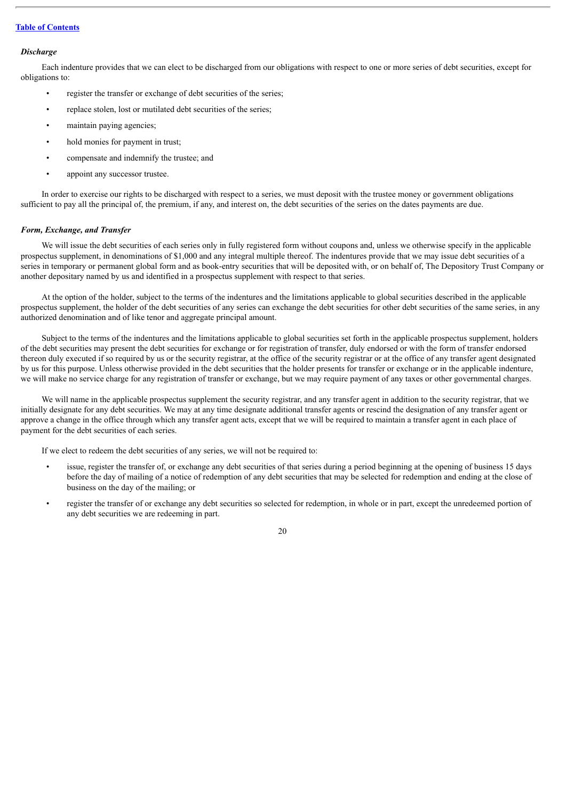#### *Discharge*

Each indenture provides that we can elect to be discharged from our obligations with respect to one or more series of debt securities, except for obligations to:

- register the transfer or exchange of debt securities of the series;
- replace stolen, lost or mutilated debt securities of the series;
- maintain paying agencies:
- hold monies for payment in trust;
- compensate and indemnify the trustee; and
- appoint any successor trustee.

In order to exercise our rights to be discharged with respect to a series, we must deposit with the trustee money or government obligations sufficient to pay all the principal of, the premium, if any, and interest on, the debt securities of the series on the dates payments are due.

# *Form, Exchange, and Transfer*

We will issue the debt securities of each series only in fully registered form without coupons and, unless we otherwise specify in the applicable prospectus supplement, in denominations of \$1,000 and any integral multiple thereof. The indentures provide that we may issue debt securities of a series in temporary or permanent global form and as book-entry securities that will be deposited with, or on behalf of, The Depository Trust Company or another depositary named by us and identified in a prospectus supplement with respect to that series.

At the option of the holder, subject to the terms of the indentures and the limitations applicable to global securities described in the applicable prospectus supplement, the holder of the debt securities of any series can exchange the debt securities for other debt securities of the same series, in any authorized denomination and of like tenor and aggregate principal amount.

Subject to the terms of the indentures and the limitations applicable to global securities set forth in the applicable prospectus supplement, holders of the debt securities may present the debt securities for exchange or for registration of transfer, duly endorsed or with the form of transfer endorsed thereon duly executed if so required by us or the security registrar, at the office of the security registrar or at the office of any transfer agent designated by us for this purpose. Unless otherwise provided in the debt securities that the holder presents for transfer or exchange or in the applicable indenture, we will make no service charge for any registration of transfer or exchange, but we may require payment of any taxes or other governmental charges.

We will name in the applicable prospectus supplement the security registrar, and any transfer agent in addition to the security registrar, that we initially designate for any debt securities. We may at any time designate additional transfer agents or rescind the designation of any transfer agent or approve a change in the office through which any transfer agent acts, except that we will be required to maintain a transfer agent in each place of payment for the debt securities of each series.

If we elect to redeem the debt securities of any series, we will not be required to:

- issue, register the transfer of, or exchange any debt securities of that series during a period beginning at the opening of business 15 days before the day of mailing of a notice of redemption of any debt securities that may be selected for redemption and ending at the close of business on the day of the mailing; or
- register the transfer of or exchange any debt securities so selected for redemption, in whole or in part, except the unredeemed portion of any debt securities we are redeeming in part.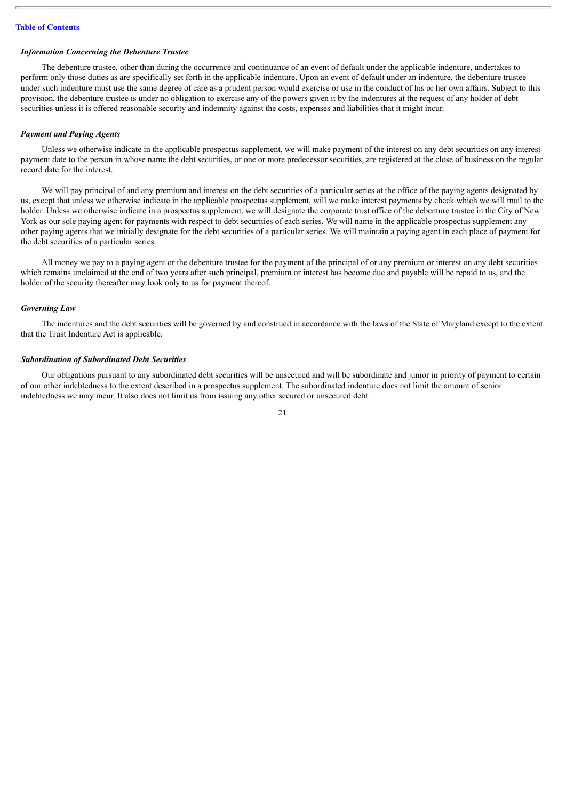#### *Information Concerning the Debenture Trustee*

The debenture trustee, other than during the occurrence and continuance of an event of default under the applicable indenture, undertakes to perform only those duties as are specifically set forth in the applicable indenture. Upon an event of default under an indenture, the debenture trustee under such indenture must use the same degree of care as a prudent person would exercise or use in the conduct of his or her own affairs. Subject to this provision, the debenture trustee is under no obligation to exercise any of the powers given it by the indentures at the request of any holder of debt securities unless it is offered reasonable security and indemnity against the costs, expenses and liabilities that it might incur.

#### *Payment and Paying Agents*

Unless we otherwise indicate in the applicable prospectus supplement, we will make payment of the interest on any debt securities on any interest payment date to the person in whose name the debt securities, or one or more predecessor securities, are registered at the close of business on the regular record date for the interest.

We will pay principal of and any premium and interest on the debt securities of a particular series at the office of the paying agents designated by us, except that unless we otherwise indicate in the applicable prospectus supplement, will we make interest payments by check which we will mail to the holder. Unless we otherwise indicate in a prospectus supplement, we will designate the corporate trust office of the debenture trustee in the City of New York as our sole paying agent for payments with respect to debt securities of each series. We will name in the applicable prospectus supplement any other paying agents that we initially designate for the debt securities of a particular series. We will maintain a paying agent in each place of payment for the debt securities of a particular series.

All money we pay to a paying agent or the debenture trustee for the payment of the principal of or any premium or interest on any debt securities which remains unclaimed at the end of two years after such principal, premium or interest has become due and payable will be repaid to us, and the holder of the security thereafter may look only to us for payment thereof.

## *Governing Law*

The indentures and the debt securities will be governed by and construed in accordance with the laws of the State of Maryland except to the extent that the Trust Indenture Act is applicable.

# *Subordination of Subordinated Debt Securities*

Our obligations pursuant to any subordinated debt securities will be unsecured and will be subordinate and junior in priority of payment to certain of our other indebtedness to the extent described in a prospectus supplement. The subordinated indenture does not limit the amount of senior indebtedness we may incur. It also does not limit us from issuing any other secured or unsecured debt.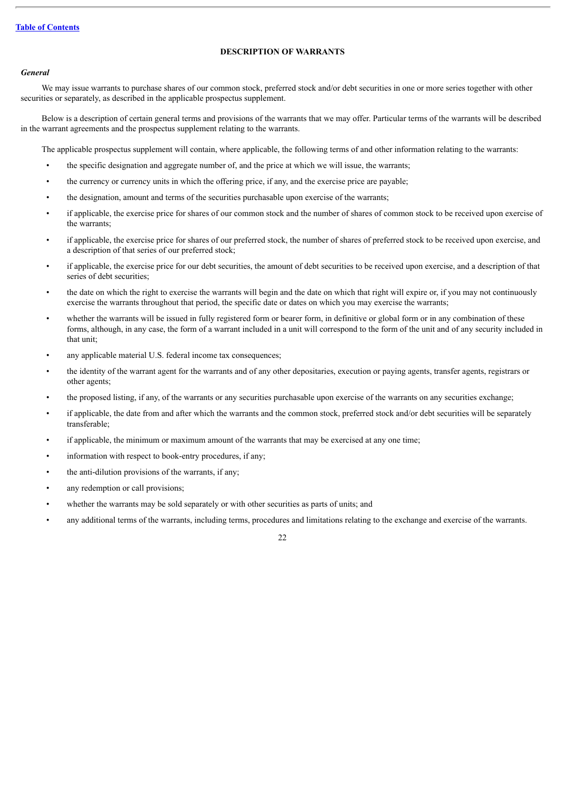# **DESCRIPTION OF WARRANTS**

# <span id="page-37-0"></span>*General*

We may issue warrants to purchase shares of our common stock, preferred stock and/or debt securities in one or more series together with other securities or separately, as described in the applicable prospectus supplement.

Below is a description of certain general terms and provisions of the warrants that we may offer. Particular terms of the warrants will be described in the warrant agreements and the prospectus supplement relating to the warrants.

The applicable prospectus supplement will contain, where applicable, the following terms of and other information relating to the warrants:

- the specific designation and aggregate number of, and the price at which we will issue, the warrants;
- the currency or currency units in which the offering price, if any, and the exercise price are payable;
- the designation, amount and terms of the securities purchasable upon exercise of the warrants;
- if applicable, the exercise price for shares of our common stock and the number of shares of common stock to be received upon exercise of the warrants;
- if applicable, the exercise price for shares of our preferred stock, the number of shares of preferred stock to be received upon exercise, and a description of that series of our preferred stock;
- if applicable, the exercise price for our debt securities, the amount of debt securities to be received upon exercise, and a description of that series of debt securities;
- the date on which the right to exercise the warrants will begin and the date on which that right will expire or, if you may not continuously exercise the warrants throughout that period, the specific date or dates on which you may exercise the warrants;
- whether the warrants will be issued in fully registered form or bearer form, in definitive or global form or in any combination of these forms, although, in any case, the form of a warrant included in a unit will correspond to the form of the unit and of any security included in that unit;
- any applicable material U.S. federal income tax consequences;
- the identity of the warrant agent for the warrants and of any other depositaries, execution or paying agents, transfer agents, registrars or other agents;
- the proposed listing, if any, of the warrants or any securities purchasable upon exercise of the warrants on any securities exchange;
- if applicable, the date from and after which the warrants and the common stock, preferred stock and/or debt securities will be separately transferable;
- if applicable, the minimum or maximum amount of the warrants that may be exercised at any one time;
- information with respect to book-entry procedures, if any;
- the anti-dilution provisions of the warrants, if any;
- any redemption or call provisions;
- whether the warrants may be sold separately or with other securities as parts of units; and
- any additional terms of the warrants, including terms, procedures and limitations relating to the exchange and exercise of the warrants.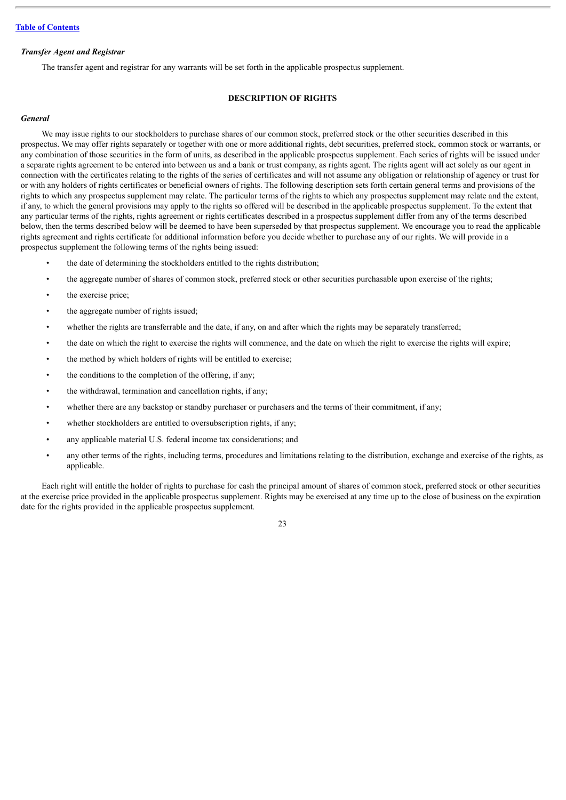#### *Transfer Agent and Registrar*

The transfer agent and registrar for any warrants will be set forth in the applicable prospectus supplement.

# **DESCRIPTION OF RIGHTS**

#### <span id="page-38-0"></span>*General*

We may issue rights to our stockholders to purchase shares of our common stock, preferred stock or the other securities described in this prospectus. We may offer rights separately or together with one or more additional rights, debt securities, preferred stock, common stock or warrants, or any combination of those securities in the form of units, as described in the applicable prospectus supplement. Each series of rights will be issued under a separate rights agreement to be entered into between us and a bank or trust company, as rights agent. The rights agent will act solely as our agent in connection with the certificates relating to the rights of the series of certificates and will not assume any obligation or relationship of agency or trust for or with any holders of rights certificates or beneficial owners of rights. The following description sets forth certain general terms and provisions of the rights to which any prospectus supplement may relate. The particular terms of the rights to which any prospectus supplement may relate and the extent, if any, to which the general provisions may apply to the rights so offered will be described in the applicable prospectus supplement. To the extent that any particular terms of the rights, rights agreement or rights certificates described in a prospectus supplement differ from any of the terms described below, then the terms described below will be deemed to have been superseded by that prospectus supplement. We encourage you to read the applicable rights agreement and rights certificate for additional information before you decide whether to purchase any of our rights. We will provide in a prospectus supplement the following terms of the rights being issued:

- the date of determining the stockholders entitled to the rights distribution;
- the aggregate number of shares of common stock, preferred stock or other securities purchasable upon exercise of the rights;
- the exercise price;
- the aggregate number of rights issued;
- whether the rights are transferrable and the date, if any, on and after which the rights may be separately transferred;
- the date on which the right to exercise the rights will commence, and the date on which the right to exercise the rights will expire;
- the method by which holders of rights will be entitled to exercise;
- the conditions to the completion of the offering, if any;
- the withdrawal, termination and cancellation rights, if any;
- whether there are any backstop or standby purchaser or purchasers and the terms of their commitment, if any;
- whether stockholders are entitled to oversubscription rights, if any;
- any applicable material U.S. federal income tax considerations; and
- any other terms of the rights, including terms, procedures and limitations relating to the distribution, exchange and exercise of the rights, as applicable.

Each right will entitle the holder of rights to purchase for cash the principal amount of shares of common stock, preferred stock or other securities at the exercise price provided in the applicable prospectus supplement. Rights may be exercised at any time up to the close of business on the expiration date for the rights provided in the applicable prospectus supplement.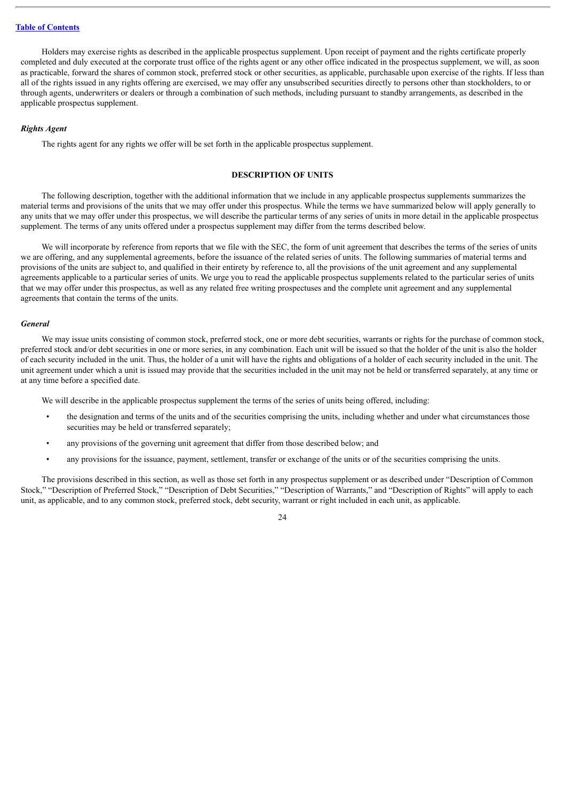Holders may exercise rights as described in the applicable prospectus supplement. Upon receipt of payment and the rights certificate properly completed and duly executed at the corporate trust office of the rights agent or any other office indicated in the prospectus supplement, we will, as soon as practicable, forward the shares of common stock, preferred stock or other securities, as applicable, purchasable upon exercise of the rights. If less than all of the rights issued in any rights offering are exercised, we may offer any unsubscribed securities directly to persons other than stockholders, to or through agents, underwriters or dealers or through a combination of such methods, including pursuant to standby arrangements, as described in the applicable prospectus supplement.

# *Rights Agent*

The rights agent for any rights we offer will be set forth in the applicable prospectus supplement.

# **DESCRIPTION OF UNITS**

<span id="page-39-0"></span>The following description, together with the additional information that we include in any applicable prospectus supplements summarizes the material terms and provisions of the units that we may offer under this prospectus. While the terms we have summarized below will apply generally to any units that we may offer under this prospectus, we will describe the particular terms of any series of units in more detail in the applicable prospectus supplement. The terms of any units offered under a prospectus supplement may differ from the terms described below.

We will incorporate by reference from reports that we file with the SEC, the form of unit agreement that describes the terms of the series of units we are offering, and any supplemental agreements, before the issuance of the related series of units. The following summaries of material terms and provisions of the units are subject to, and qualified in their entirety by reference to, all the provisions of the unit agreement and any supplemental agreements applicable to a particular series of units. We urge you to read the applicable prospectus supplements related to the particular series of units that we may offer under this prospectus, as well as any related free writing prospectuses and the complete unit agreement and any supplemental agreements that contain the terms of the units.

#### *General*

We may issue units consisting of common stock, preferred stock, one or more debt securities, warrants or rights for the purchase of common stock, preferred stock and/or debt securities in one or more series, in any combination. Each unit will be issued so that the holder of the unit is also the holder of each security included in the unit. Thus, the holder of a unit will have the rights and obligations of a holder of each security included in the unit. The unit agreement under which a unit is issued may provide that the securities included in the unit may not be held or transferred separately, at any time or at any time before a specified date.

We will describe in the applicable prospectus supplement the terms of the series of units being offered, including:

- the designation and terms of the units and of the securities comprising the units, including whether and under what circumstances those securities may be held or transferred separately;
- any provisions of the governing unit agreement that differ from those described below; and
- any provisions for the issuance, payment, settlement, transfer or exchange of the units or of the securities comprising the units.

The provisions described in this section, as well as those set forth in any prospectus supplement or as described under "Description of Common Stock," "Description of Preferred Stock," "Description of Debt Securities," "Description of Warrants," and "Description of Rights" will apply to each unit, as applicable, and to any common stock, preferred stock, debt security, warrant or right included in each unit, as applicable.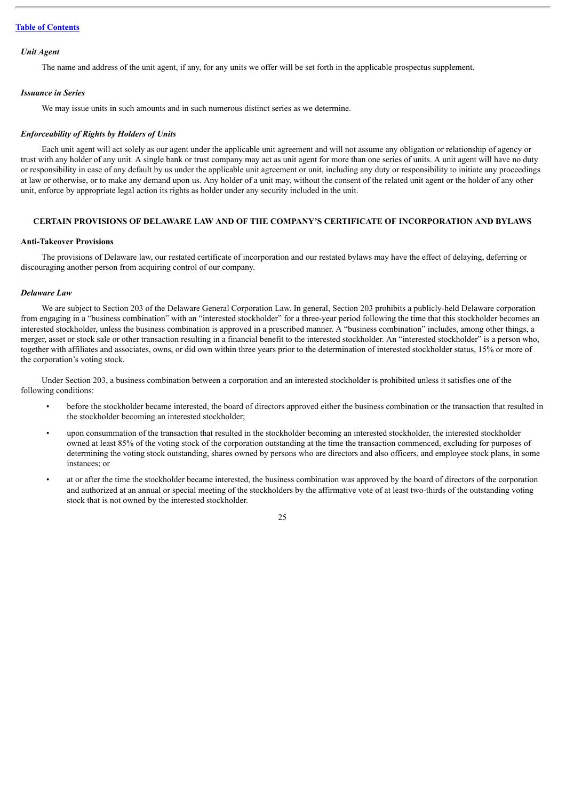#### *Unit Agent*

The name and address of the unit agent, if any, for any units we offer will be set forth in the applicable prospectus supplement.

#### *Issuance in Series*

We may issue units in such amounts and in such numerous distinct series as we determine.

#### *Enforceability of Rights by Holders of Units*

Each unit agent will act solely as our agent under the applicable unit agreement and will not assume any obligation or relationship of agency or trust with any holder of any unit. A single bank or trust company may act as unit agent for more than one series of units. A unit agent will have no duty or responsibility in case of any default by us under the applicable unit agreement or unit, including any duty or responsibility to initiate any proceedings at law or otherwise, or to make any demand upon us. Any holder of a unit may, without the consent of the related unit agent or the holder of any other unit, enforce by appropriate legal action its rights as holder under any security included in the unit.

# <span id="page-40-0"></span>**CERTAIN PROVISIONS OF DELAWARE LAW AND OF THE COMPANY'S CERTIFICATE OF INCORPORATION AND BYLAWS**

#### **Anti-Takeover Provisions**

The provisions of Delaware law, our restated certificate of incorporation and our restated bylaws may have the effect of delaying, deferring or discouraging another person from acquiring control of our company.

#### *Delaware Law*

We are subject to Section 203 of the Delaware General Corporation Law. In general, Section 203 prohibits a publicly-held Delaware corporation from engaging in a "business combination" with an "interested stockholder" for a three-year period following the time that this stockholder becomes an interested stockholder, unless the business combination is approved in a prescribed manner. A "business combination" includes, among other things, a merger, asset or stock sale or other transaction resulting in a financial benefit to the interested stockholder. An "interested stockholder" is a person who, together with affiliates and associates, owns, or did own within three years prior to the determination of interested stockholder status, 15% or more of the corporation's voting stock.

Under Section 203, a business combination between a corporation and an interested stockholder is prohibited unless it satisfies one of the following conditions:

- before the stockholder became interested, the board of directors approved either the business combination or the transaction that resulted in the stockholder becoming an interested stockholder;
- upon consummation of the transaction that resulted in the stockholder becoming an interested stockholder, the interested stockholder owned at least 85% of the voting stock of the corporation outstanding at the time the transaction commenced, excluding for purposes of determining the voting stock outstanding, shares owned by persons who are directors and also officers, and employee stock plans, in some instances; or
- at or after the time the stockholder became interested, the business combination was approved by the board of directors of the corporation and authorized at an annual or special meeting of the stockholders by the affirmative vote of at least two-thirds of the outstanding voting stock that is not owned by the interested stockholder.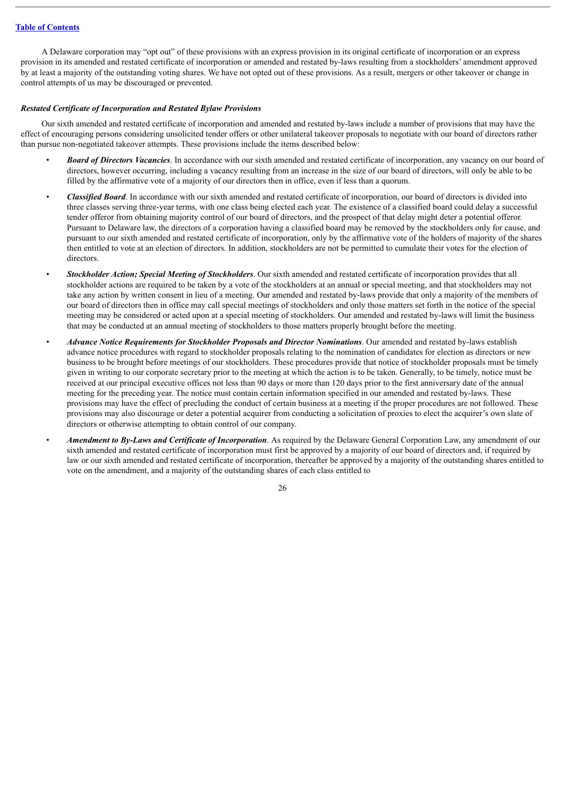A Delaware corporation may "opt out" of these provisions with an express provision in its original certificate of incorporation or an express provision in its amended and restated certificate of incorporation or amended and restated by-laws resulting from a stockholders' amendment approved by at least a majority of the outstanding voting shares. We have not opted out of these provisions. As a result, mergers or other takeover or change in control attempts of us may be discouraged or prevented.

#### *Restated Certificate of Incorporation and Restated Bylaw Provisions*

Our sixth amended and restated certificate of incorporation and amended and restated by-laws include a number of provisions that may have the effect of encouraging persons considering unsolicited tender offers or other unilateral takeover proposals to negotiate with our board of directors rather than pursue non-negotiated takeover attempts. These provisions include the items described below:

- *Board of Directors Vacancies*. In accordance with our sixth amended and restated certificate of incorporation, any vacancy on our board of directors, however occurring, including a vacancy resulting from an increase in the size of our board of directors, will only be able to be filled by the affirmative vote of a majority of our directors then in office, even if less than a quorum.
- *Classified Board*. In accordance with our sixth amended and restated certificate of incorporation, our board of directors is divided into three classes serving three-year terms, with one class being elected each year. The existence of a classified board could delay a successful tender offeror from obtaining majority control of our board of directors, and the prospect of that delay might deter a potential offeror. Pursuant to Delaware law, the directors of a corporation having a classified board may be removed by the stockholders only for cause, and pursuant to our sixth amended and restated certificate of incorporation, only by the affirmative vote of the holders of majority of the shares then entitled to vote at an election of directors. In addition, stockholders are not be permitted to cumulate their votes for the election of **directors**
- *Stockholder Action; Special Meeting of Stockholders*. Our sixth amended and restated certificate of incorporation provides that all stockholder actions are required to be taken by a vote of the stockholders at an annual or special meeting, and that stockholders may not take any action by written consent in lieu of a meeting. Our amended and restated by-laws provide that only a majority of the members of our board of directors then in office may call special meetings of stockholders and only those matters set forth in the notice of the special meeting may be considered or acted upon at a special meeting of stockholders. Our amended and restated by-laws will limit the business that may be conducted at an annual meeting of stockholders to those matters properly brought before the meeting.
- *Advance Notice Requirements for Stockholder Proposals and Director Nominations*. Our amended and restated by-laws establish advance notice procedures with regard to stockholder proposals relating to the nomination of candidates for election as directors or new business to be brought before meetings of our stockholders. These procedures provide that notice of stockholder proposals must be timely given in writing to our corporate secretary prior to the meeting at which the action is to be taken. Generally, to be timely, notice must be received at our principal executive offices not less than 90 days or more than 120 days prior to the first anniversary date of the annual meeting for the preceding year. The notice must contain certain information specified in our amended and restated by-laws. These provisions may have the effect of precluding the conduct of certain business at a meeting if the proper procedures are not followed. These provisions may also discourage or deter a potential acquirer from conducting a solicitation of proxies to elect the acquirer's own slate of directors or otherwise attempting to obtain control of our company.
- *Amendment to By-Laws and Certificate of Incorporation*. As required by the Delaware General Corporation Law, any amendment of our sixth amended and restated certificate of incorporation must first be approved by a majority of our board of directors and, if required by law or our sixth amended and restated certificate of incorporation, thereafter be approved by a majority of the outstanding shares entitled to vote on the amendment, and a majority of the outstanding shares of each class entitled to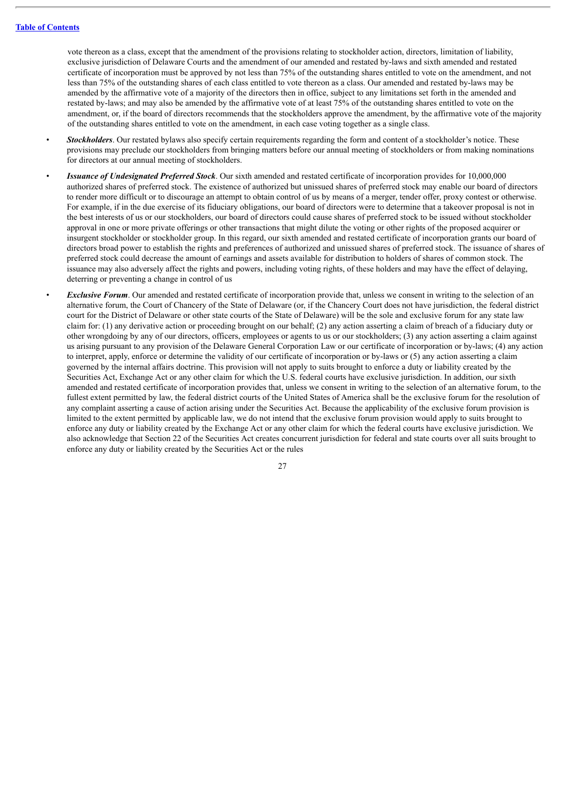vote thereon as a class, except that the amendment of the provisions relating to stockholder action, directors, limitation of liability, exclusive jurisdiction of Delaware Courts and the amendment of our amended and restated by-laws and sixth amended and restated certificate of incorporation must be approved by not less than 75% of the outstanding shares entitled to vote on the amendment, and not less than 75% of the outstanding shares of each class entitled to vote thereon as a class. Our amended and restated by-laws may be amended by the affirmative vote of a majority of the directors then in office, subject to any limitations set forth in the amended and restated by-laws; and may also be amended by the affirmative vote of at least 75% of the outstanding shares entitled to vote on the amendment, or, if the board of directors recommends that the stockholders approve the amendment, by the affirmative vote of the majority of the outstanding shares entitled to vote on the amendment, in each case voting together as a single class.

- *Stockholders*. Our restated bylaws also specify certain requirements regarding the form and content of a stockholder's notice. These provisions may preclude our stockholders from bringing matters before our annual meeting of stockholders or from making nominations for directors at our annual meeting of stockholders.
- *Issuance of Undesignated Preferred Stock*. Our sixth amended and restated certificate of incorporation provides for 10,000,000 authorized shares of preferred stock. The existence of authorized but unissued shares of preferred stock may enable our board of directors to render more difficult or to discourage an attempt to obtain control of us by means of a merger, tender offer, proxy contest or otherwise. For example, if in the due exercise of its fiduciary obligations, our board of directors were to determine that a takeover proposal is not in the best interests of us or our stockholders, our board of directors could cause shares of preferred stock to be issued without stockholder approval in one or more private offerings or other transactions that might dilute the voting or other rights of the proposed acquirer or insurgent stockholder or stockholder group. In this regard, our sixth amended and restated certificate of incorporation grants our board of directors broad power to establish the rights and preferences of authorized and unissued shares of preferred stock. The issuance of shares of preferred stock could decrease the amount of earnings and assets available for distribution to holders of shares of common stock. The issuance may also adversely affect the rights and powers, including voting rights, of these holders and may have the effect of delaying, deterring or preventing a change in control of us
- *Exclusive Forum*. Our amended and restated certificate of incorporation provide that, unless we consent in writing to the selection of an alternative forum, the Court of Chancery of the State of Delaware (or, if the Chancery Court does not have jurisdiction, the federal district court for the District of Delaware or other state courts of the State of Delaware) will be the sole and exclusive forum for any state law claim for: (1) any derivative action or proceeding brought on our behalf; (2) any action asserting a claim of breach of a fiduciary duty or other wrongdoing by any of our directors, officers, employees or agents to us or our stockholders; (3) any action asserting a claim against us arising pursuant to any provision of the Delaware General Corporation Law or our certificate of incorporation or by-laws; (4) any action to interpret, apply, enforce or determine the validity of our certificate of incorporation or by-laws or (5) any action asserting a claim governed by the internal affairs doctrine. This provision will not apply to suits brought to enforce a duty or liability created by the Securities Act, Exchange Act or any other claim for which the U.S. federal courts have exclusive jurisdiction. In addition, our sixth amended and restated certificate of incorporation provides that, unless we consent in writing to the selection of an alternative forum, to the fullest extent permitted by law, the federal district courts of the United States of America shall be the exclusive forum for the resolution of any complaint asserting a cause of action arising under the Securities Act. Because the applicability of the exclusive forum provision is limited to the extent permitted by applicable law, we do not intend that the exclusive forum provision would apply to suits brought to enforce any duty or liability created by the Exchange Act or any other claim for which the federal courts have exclusive jurisdiction. We also acknowledge that Section 22 of the Securities Act creates concurrent jurisdiction for federal and state courts over all suits brought to enforce any duty or liability created by the Securities Act or the rules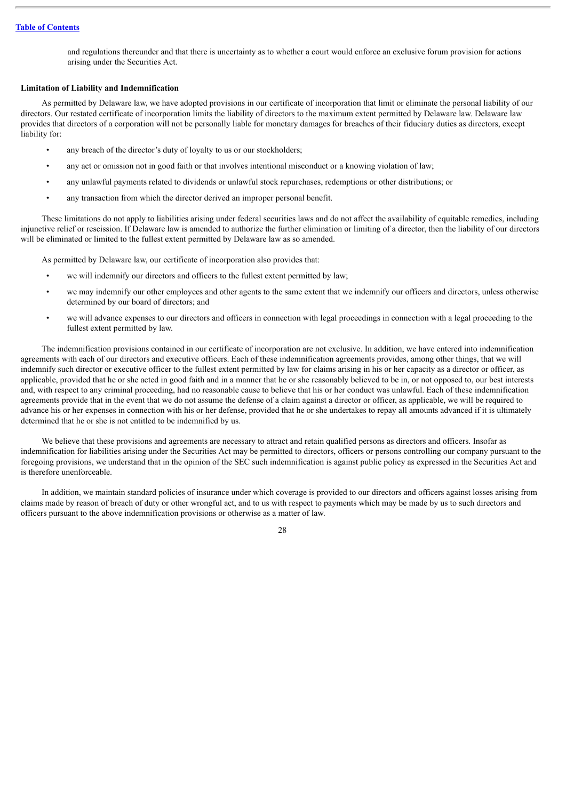and regulations thereunder and that there is uncertainty as to whether a court would enforce an exclusive forum provision for actions arising under the Securities Act.

# **Limitation of Liability and Indemnification**

As permitted by Delaware law, we have adopted provisions in our certificate of incorporation that limit or eliminate the personal liability of our directors. Our restated certificate of incorporation limits the liability of directors to the maximum extent permitted by Delaware law. Delaware law provides that directors of a corporation will not be personally liable for monetary damages for breaches of their fiduciary duties as directors, except liability for:

- any breach of the director's duty of loyalty to us or our stockholders;
- any act or omission not in good faith or that involves intentional misconduct or a knowing violation of law;
- any unlawful payments related to dividends or unlawful stock repurchases, redemptions or other distributions; or
- any transaction from which the director derived an improper personal benefit.

These limitations do not apply to liabilities arising under federal securities laws and do not affect the availability of equitable remedies, including injunctive relief or rescission. If Delaware law is amended to authorize the further elimination or limiting of a director, then the liability of our directors will be eliminated or limited to the fullest extent permitted by Delaware law as so amended.

As permitted by Delaware law, our certificate of incorporation also provides that:

- we will indemnify our directors and officers to the fullest extent permitted by law;
- we may indemnify our other employees and other agents to the same extent that we indemnify our officers and directors, unless otherwise determined by our board of directors; and
- we will advance expenses to our directors and officers in connection with legal proceedings in connection with a legal proceeding to the fullest extent permitted by law.

The indemnification provisions contained in our certificate of incorporation are not exclusive. In addition, we have entered into indemnification agreements with each of our directors and executive officers. Each of these indemnification agreements provides, among other things, that we will indemnify such director or executive officer to the fullest extent permitted by law for claims arising in his or her capacity as a director or officer, as applicable, provided that he or she acted in good faith and in a manner that he or she reasonably believed to be in, or not opposed to, our best interests and, with respect to any criminal proceeding, had no reasonable cause to believe that his or her conduct was unlawful. Each of these indemnification agreements provide that in the event that we do not assume the defense of a claim against a director or officer, as applicable, we will be required to advance his or her expenses in connection with his or her defense, provided that he or she undertakes to repay all amounts advanced if it is ultimately determined that he or she is not entitled to be indemnified by us.

We believe that these provisions and agreements are necessary to attract and retain qualified persons as directors and officers. Insofar as indemnification for liabilities arising under the Securities Act may be permitted to directors, officers or persons controlling our company pursuant to the foregoing provisions, we understand that in the opinion of the SEC such indemnification is against public policy as expressed in the Securities Act and is therefore unenforceable.

In addition, we maintain standard policies of insurance under which coverage is provided to our directors and officers against losses arising from claims made by reason of breach of duty or other wrongful act, and to us with respect to payments which may be made by us to such directors and officers pursuant to the above indemnification provisions or otherwise as a matter of law.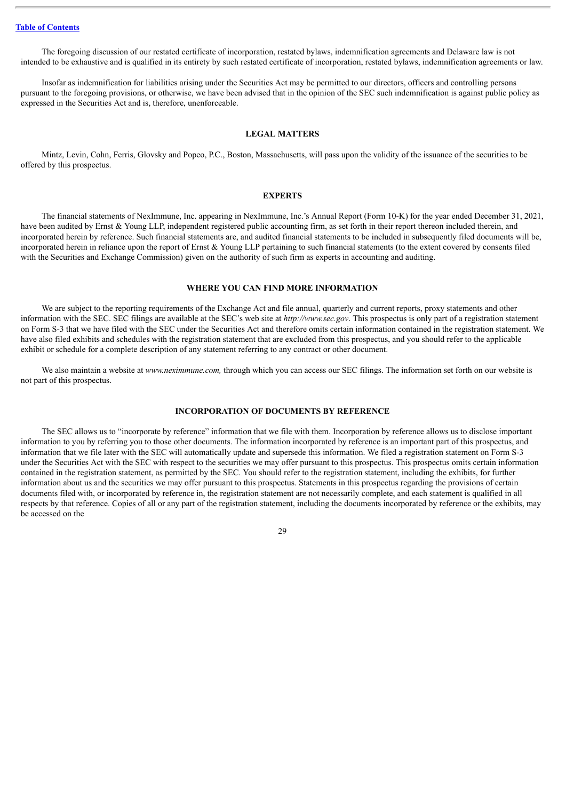The foregoing discussion of our restated certificate of incorporation, restated bylaws, indemnification agreements and Delaware law is not intended to be exhaustive and is qualified in its entirety by such restated certificate of incorporation, restated bylaws, indemnification agreements or law.

Insofar as indemnification for liabilities arising under the Securities Act may be permitted to our directors, officers and controlling persons pursuant to the foregoing provisions, or otherwise, we have been advised that in the opinion of the SEC such indemnification is against public policy as expressed in the Securities Act and is, therefore, unenforceable.

#### **LEGAL MATTERS**

<span id="page-44-0"></span>Mintz, Levin, Cohn, Ferris, Glovsky and Popeo, P.C., Boston, Massachusetts, will pass upon the validity of the issuance of the securities to be offered by this prospectus.

# **EXPERTS**

<span id="page-44-1"></span>The financial statements of NexImmune, Inc. appearing in NexImmune, Inc.'s Annual Report (Form 10-K) for the year ended December 31, 2021, have been audited by Ernst & Young LLP, independent registered public accounting firm, as set forth in their report thereon included therein, and incorporated herein by reference. Such financial statements are, and audited financial statements to be included in subsequently filed documents will be, incorporated herein in reliance upon the report of Ernst  $\&$  Young LLP pertaining to such financial statements (to the extent covered by consents filed with the Securities and Exchange Commission) given on the authority of such firm as experts in accounting and auditing.

#### **WHERE YOU CAN FIND MORE INFORMATION**

<span id="page-44-2"></span>We are subject to the reporting requirements of the Exchange Act and file annual, quarterly and current reports, proxy statements and other information with the SEC. SEC filings are available at the SEC's web site at *http://www.sec.gov*. This prospectus is only part of a registration statement on Form S-3 that we have filed with the SEC under the Securities Act and therefore omits certain information contained in the registration statement. We have also filed exhibits and schedules with the registration statement that are excluded from this prospectus, and you should refer to the applicable exhibit or schedule for a complete description of any statement referring to any contract or other document.

We also maintain a website at *www.neximmune.com,* through which you can access our SEC filings. The information set forth on our website is not part of this prospectus.

# **INCORPORATION OF DOCUMENTS BY REFERENCE**

<span id="page-44-3"></span>The SEC allows us to "incorporate by reference" information that we file with them. Incorporation by reference allows us to disclose important information to you by referring you to those other documents. The information incorporated by reference is an important part of this prospectus, and information that we file later with the SEC will automatically update and supersede this information. We filed a registration statement on Form S-3 under the Securities Act with the SEC with respect to the securities we may offer pursuant to this prospectus. This prospectus omits certain information contained in the registration statement, as permitted by the SEC. You should refer to the registration statement, including the exhibits, for further information about us and the securities we may offer pursuant to this prospectus. Statements in this prospectus regarding the provisions of certain documents filed with, or incorporated by reference in, the registration statement are not necessarily complete, and each statement is qualified in all respects by that reference. Copies of all or any part of the registration statement, including the documents incorporated by reference or the exhibits, may be accessed on the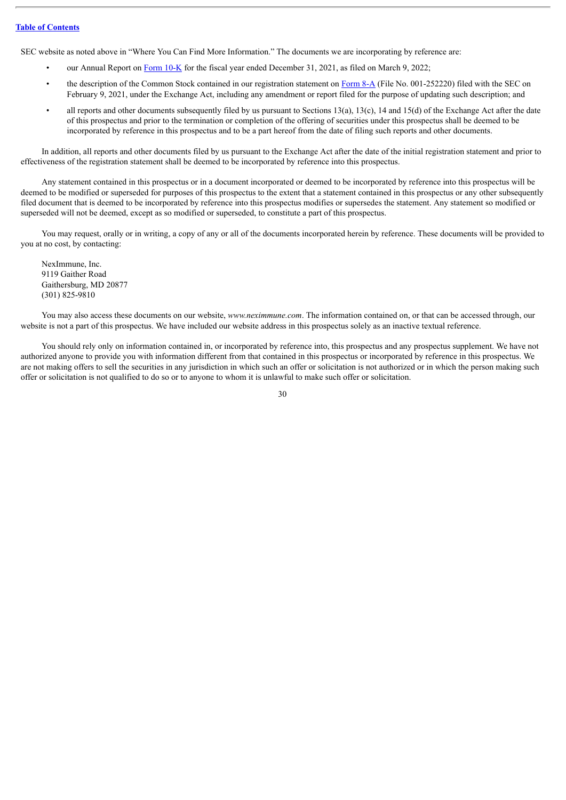SEC website as noted above in "Where You Can Find More Information." The documents we are incorporating by reference are:

- our Annual Report on [Form](http://www.sec.gov/ix?doc=/Archives/edgar/data/1538210/000153821022000008/nexi-20211231.htm) 10-K for the fiscal year ended December 31, 2021, as filed on March 9, 2022;
- the description of the Common Stock contained in our registration statement on [Form](http://www.sec.gov/Archives/edgar/data/1538210/000119312521033776/d117115d8a12b.htm) 8-A (File No. 001-252220) filed with the SEC on February 9, 2021, under the Exchange Act, including any amendment or report filed for the purpose of updating such description; and
- all reports and other documents subsequently filed by us pursuant to Sections  $13(a)$ ,  $13(c)$ ,  $14$  and  $15(d)$  of the Exchange Act after the date of this prospectus and prior to the termination or completion of the offering of securities under this prospectus shall be deemed to be incorporated by reference in this prospectus and to be a part hereof from the date of filing such reports and other documents.

In addition, all reports and other documents filed by us pursuant to the Exchange Act after the date of the initial registration statement and prior to effectiveness of the registration statement shall be deemed to be incorporated by reference into this prospectus.

Any statement contained in this prospectus or in a document incorporated or deemed to be incorporated by reference into this prospectus will be deemed to be modified or superseded for purposes of this prospectus to the extent that a statement contained in this prospectus or any other subsequently filed document that is deemed to be incorporated by reference into this prospectus modifies or supersedes the statement. Any statement so modified or superseded will not be deemed, except as so modified or superseded, to constitute a part of this prospectus.

You may request, orally or in writing, a copy of any or all of the documents incorporated herein by reference. These documents will be provided to you at no cost, by contacting:

NexImmune, Inc. 9119 Gaither Road Gaithersburg, MD 20877 (301) 825-9810

You may also access these documents on our website, *www.neximmune.com*. The information contained on, or that can be accessed through, our website is not a part of this prospectus. We have included our website address in this prospectus solely as an inactive textual reference.

You should rely only on information contained in, or incorporated by reference into, this prospectus and any prospectus supplement. We have not authorized anyone to provide you with information different from that contained in this prospectus or incorporated by reference in this prospectus. We are not making offers to sell the securities in any jurisdiction in which such an offer or solicitation is not authorized or in which the person making such offer or solicitation is not qualified to do so or to anyone to whom it is unlawful to make such offer or solicitation.